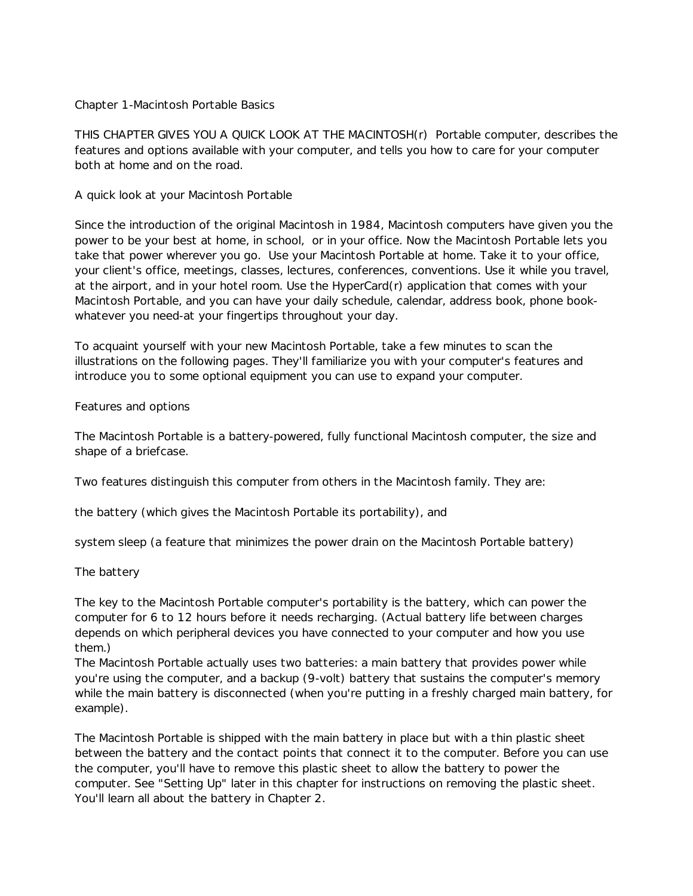#### Chapter 1-Macintosh Portable Basics

THIS CHAPTER GIVES YOU A QUICK LOOK AT THE MACINTOSH(r) Portable computer, describes the features and options available with your computer, and tells you how to care for your computer both at home and on the road.

## A quick look at your Macintosh Portable

Since the introduction of the original Macintosh in 1984, Macintosh computers have given you the power to be your best at home, in school, or in your office. Now the Macintosh Portable lets you take that power wherever you go. Use your Macintosh Portable at home. Take it to your office, your client's office, meetings, classes, lectures, conferences, conventions. Use it while you travel, at the airport, and in your hotel room. Use the HyperCard(r) application that comes with your Macintosh Portable, and you can have your daily schedule, calendar, address book, phone bookwhatever you need-at your fingertips throughout your day.

To acquaint yourself with your new Macintosh Portable, take a few minutes to scan the illustrations on the following pages. They'll familiarize you with your computer's features and introduce you to some optional equipment you can use to expand your computer.

## Features and options

The Macintosh Portable is a battery-powered, fully functional Macintosh computer, the size and shape of a briefcase.

Two features distinguish this computer from others in the Macintosh family. They are:

the battery (which gives the Macintosh Portable its portability), and

system sleep (a feature that minimizes the power drain on the Macintosh Portable battery)

# The battery

The key to the Macintosh Portable computer's portability is the battery, which can power the computer for 6 to 12 hours before it needs recharging. (Actual battery life between charges depends on which peripheral devices you have connected to your computer and how you use them.)

The Macintosh Portable actually uses two batteries: a main battery that provides power while you're using the computer, and a backup (9-volt) battery that sustains the computer's memory while the main battery is disconnected (when you're putting in a freshly charged main battery, for example).

The Macintosh Portable is shipped with the main battery in place but with a thin plastic sheet between the battery and the contact points that connect it to the computer. Before you can use the computer, you'll have to remove this plastic sheet to allow the battery to power the computer. See "Setting Up" later in this chapter for instructions on removing the plastic sheet. You'll learn all about the battery in Chapter 2.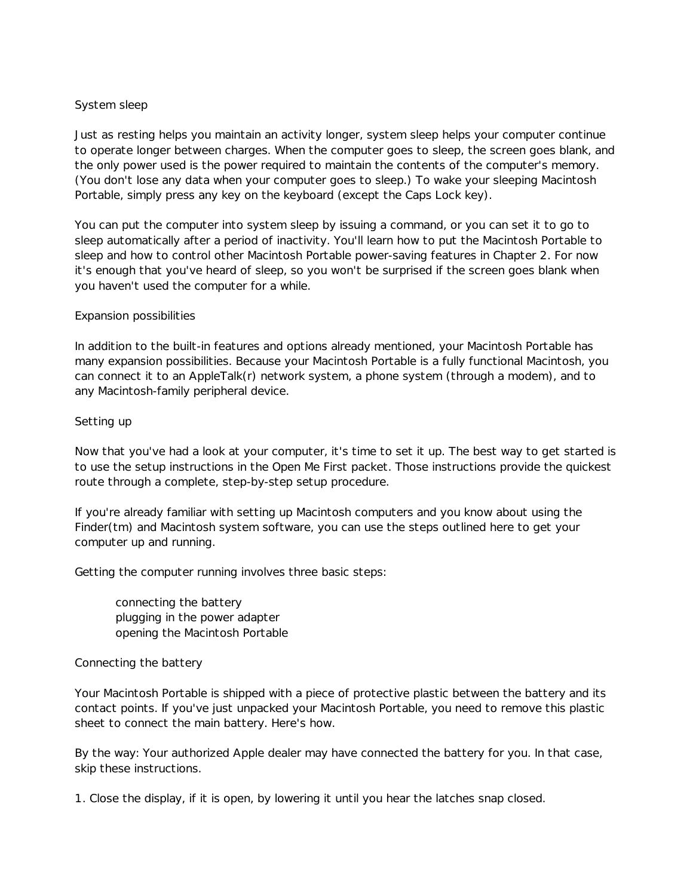# System sleep

Just as resting helps you maintain an activity longer, system sleep helps your computer continue to operate longer between charges. When the computer goes to sleep, the screen goes blank, and the only power used is the power required to maintain the contents of the computer's memory. (You don't lose any data when your computer goes to sleep.) To wake your sleeping Macintosh Portable, simply press any key on the keyboard (except the Caps Lock key).

You can put the computer into system sleep by issuing a command, or you can set it to go to sleep automatically after a period of inactivity. You'll learn how to put the Macintosh Portable to sleep and how to control other Macintosh Portable power-saving features in Chapter 2. For now it's enough that you've heard of sleep, so you won't be surprised if the screen goes blank when you haven't used the computer for a while.

## Expansion possibilities

In addition to the built-in features and options already mentioned, your Macintosh Portable has many expansion possibilities. Because your Macintosh Portable is a fully functional Macintosh, you can connect it to an AppleTalk(r) network system, a phone system (through a modem), and to any Macintosh-family peripheral device.

## Setting up

Now that you've had a look at your computer, it's time to set it up. The best way to get started is to use the setup instructions in the Open Me First packet. Those instructions provide the quickest route through a complete, step-by-step setup procedure.

If you're already familiar with setting up Macintosh computers and you know about using the Finder(tm) and Macintosh system software, you can use the steps outlined here to get your computer up and running.

Getting the computer running involves three basic steps:

connecting the battery plugging in the power adapter opening the Macintosh Portable

#### Connecting the battery

Your Macintosh Portable is shipped with a piece of protective plastic between the battery and its contact points. If you've just unpacked your Macintosh Portable, you need to remove this plastic sheet to connect the main battery. Here's how.

By the way: Your authorized Apple dealer may have connected the battery for you. In that case, skip these instructions.

1. Close the display, if it is open, by lowering it until you hear the latches snap closed.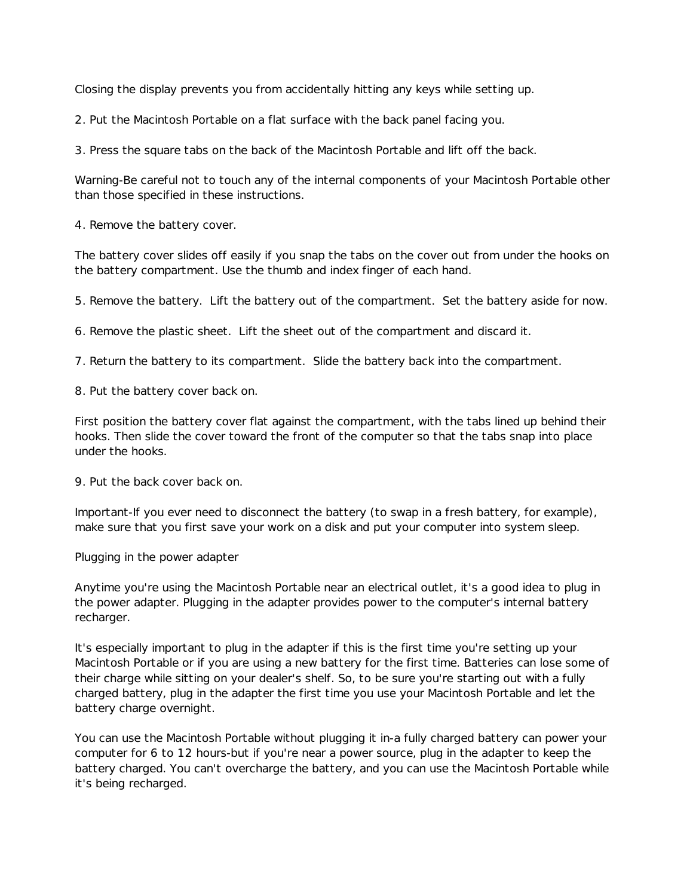Closing the display prevents you from accidentally hitting any keys while setting up.

2. Put the Macintosh Portable on a flat surface with the back panel facing you.

3. Press the square tabs on the back of the Macintosh Portable and lift off the back.

Warning-Be careful not to touch any of the internal components of your Macintosh Portable other than those specified in these instructions.

4. Remove the battery cover.

The battery cover slides off easily if you snap the tabs on the cover out from under the hooks on the battery compartment. Use the thumb and index finger of each hand.

5. Remove the battery. Lift the battery out of the compartment. Set the battery aside for now.

6. Remove the plastic sheet. Lift the sheet out of the compartment and discard it.

7. Return the battery to its compartment. Slide the battery back into the compartment.

8. Put the battery cover back on.

First position the battery cover flat against the compartment, with the tabs lined up behind their hooks. Then slide the cover toward the front of the computer so that the tabs snap into place under the hooks.

9. Put the back cover back on.

Important-If you ever need to disconnect the battery (to swap in a fresh battery, for example), make sure that you first save your work on a disk and put your computer into system sleep.

Plugging in the power adapter

Anytime you're using the Macintosh Portable near an electrical outlet, it's a good idea to plug in the power adapter. Plugging in the adapter provides power to the computer's internal battery recharger.

It's especially important to plug in the adapter if this is the first time you're setting up your Macintosh Portable or if you are using a new battery for the first time. Batteries can lose some of their charge while sitting on your dealer's shelf. So, to be sure you're starting out with a fully charged battery, plug in the adapter the first time you use your Macintosh Portable and let the battery charge overnight.

You can use the Macintosh Portable without plugging it in-a fully charged battery can power your computer for 6 to 12 hours-but if you're near a power source, plug in the adapter to keep the battery charged. You can't overcharge the battery, and you can use the Macintosh Portable while it's being recharged.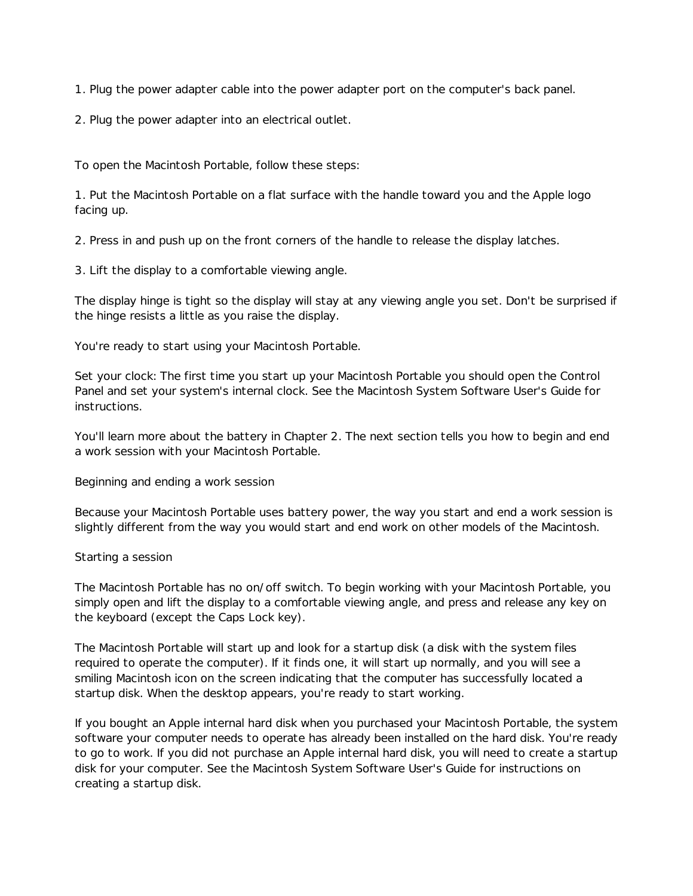1. Plug the power adapter cable into the power adapter port on the computer's back panel.

2. Plug the power adapter into an electrical outlet.

To open the Macintosh Portable, follow these steps:

1. Put the Macintosh Portable on a flat surface with the handle toward you and the Apple logo facing up.

2. Press in and push up on the front corners of the handle to release the display latches.

3. Lift the display to a comfortable viewing angle.

The display hinge is tight so the display will stay at any viewing angle you set. Don't be surprised if the hinge resists a little as you raise the display.

You're ready to start using your Macintosh Portable.

Set your clock: The first time you start up your Macintosh Portable you should open the Control Panel and set your system's internal clock. See the Macintosh System Software User's Guide for instructions.

You'll learn more about the battery in Chapter 2. The next section tells you how to begin and end a work session with your Macintosh Portable.

Beginning and ending a work session

Because your Macintosh Portable uses battery power, the way you start and end a work session is slightly different from the way you would start and end work on other models of the Macintosh.

# Starting a session

The Macintosh Portable has no on/off switch. To begin working with your Macintosh Portable, you simply open and lift the display to a comfortable viewing angle, and press and release any key on the keyboard (except the Caps Lock key).

The Macintosh Portable will start up and look for a startup disk (a disk with the system files required to operate the computer). If it finds one, it will start up normally, and you will see a smiling Macintosh icon on the screen indicating that the computer has successfully located a startup disk. When the desktop appears, you're ready to start working.

If you bought an Apple internal hard disk when you purchased your Macintosh Portable, the system software your computer needs to operate has already been installed on the hard disk. You're ready to go to work. If you did not purchase an Apple internal hard disk, you will need to create a startup disk for your computer. See the Macintosh System Software User's Guide for instructions on creating a startup disk.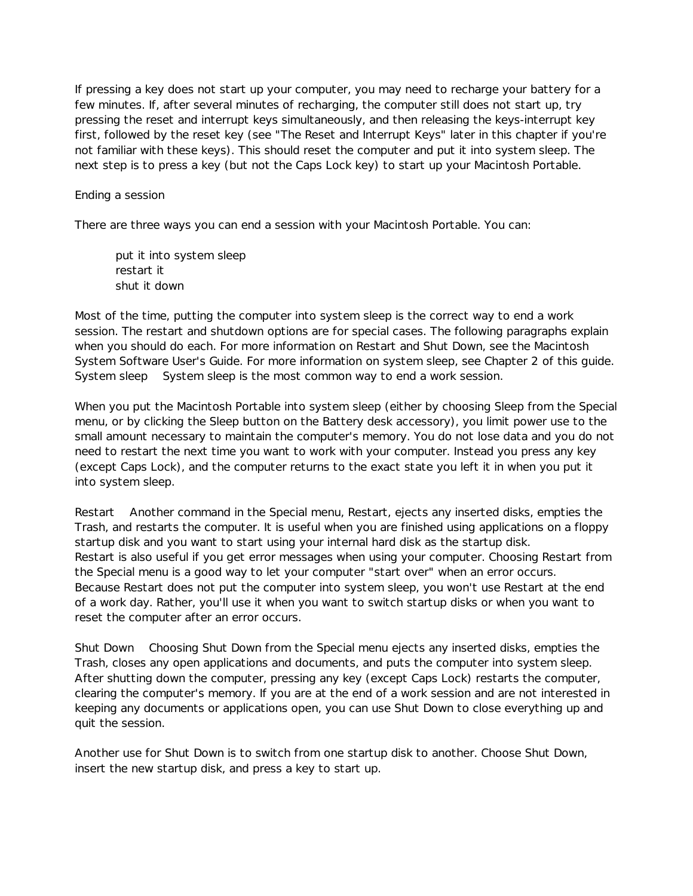If pressing a key does not start up your computer, you may need to recharge your battery for a few minutes. If, after several minutes of recharging, the computer still does not start up, try pressing the reset and interrupt keys simultaneously, and then releasing the keys-interrupt key first, followed by the reset key (see "The Reset and Interrupt Keys" later in this chapter if you're not familiar with these keys). This should reset the computer and put it into system sleep. The next step is to press a key (but not the Caps Lock key) to start up your Macintosh Portable.

## Ending a session

There are three ways you can end a session with your Macintosh Portable. You can:

put it into system sleep restart it shut it down

Most of the time, putting the computer into system sleep is the correct way to end a work session. The restart and shutdown options are for special cases. The following paragraphs explain when you should do each. For more information on Restart and Shut Down, see the Macintosh System Software User's Guide. For more information on system sleep, see Chapter 2 of this guide. System sleep System sleep is the most common way to end a work session.

When you put the Macintosh Portable into system sleep (either by choosing Sleep from the Special menu, or by clicking the Sleep button on the Battery desk accessory), you limit power use to the small amount necessary to maintain the computer's memory. You do not lose data and you do not need to restart the next time you want to work with your computer. Instead you press any key (except Caps Lock), and the computer returns to the exact state you left it in when you put it into system sleep.

Restart Another command in the Special menu, Restart, ejects any inserted disks, empties the Trash, and restarts the computer. It is useful when you are finished using applications on a floppy startup disk and you want to start using your internal hard disk as the startup disk. Restart is also useful if you get error messages when using your computer. Choosing Restart from the Special menu is a good way to let your computer "start over" when an error occurs. Because Restart does not put the computer into system sleep, you won't use Restart at the end of a work day. Rather, you'll use it when you want to switch startup disks or when you want to reset the computer after an error occurs.

Shut Down Choosing Shut Down from the Special menu ejects any inserted disks, empties the Trash, closes any open applications and documents, and puts the computer into system sleep. After shutting down the computer, pressing any key (except Caps Lock) restarts the computer, clearing the computer's memory. If you are at the end of a work session and are not interested in keeping any documents or applications open, you can use Shut Down to close everything up and quit the session.

Another use for Shut Down is to switch from one startup disk to another. Choose Shut Down, insert the new startup disk, and press a key to start up.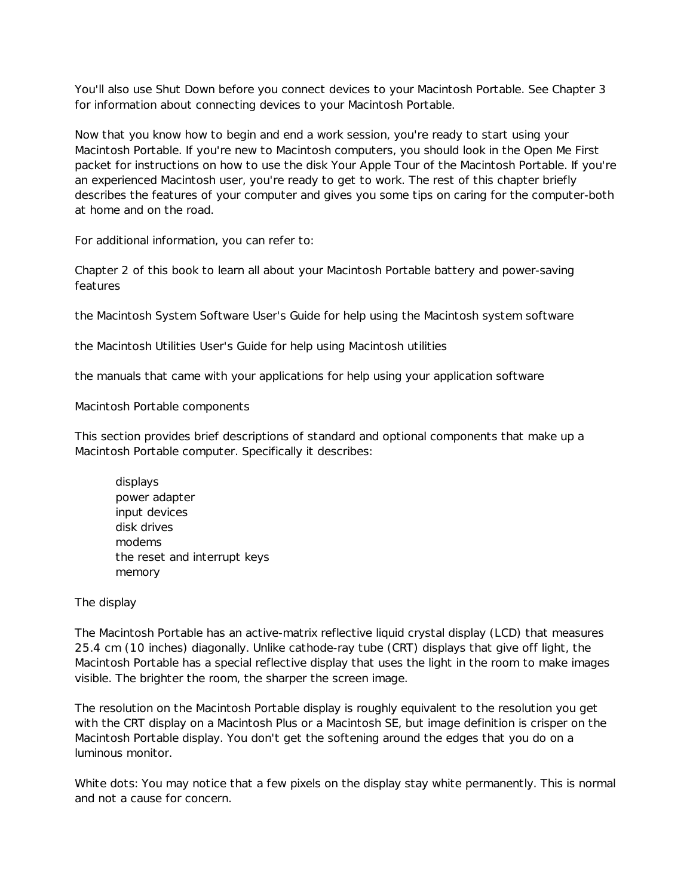You'll also use Shut Down before you connect devices to your Macintosh Portable. See Chapter 3 for information about connecting devices to your Macintosh Portable.

Now that you know how to begin and end a work session, you're ready to start using your Macintosh Portable. If you're new to Macintosh computers, you should look in the Open Me First packet for instructions on how to use the disk Your Apple Tour of the Macintosh Portable. If you're an experienced Macintosh user, you're ready to get to work. The rest of this chapter briefly describes the features of your computer and gives you some tips on caring for the computer-both at home and on the road.

For additional information, you can refer to:

Chapter 2 of this book to learn all about your Macintosh Portable battery and power-saving features

the Macintosh System Software User's Guide for help using the Macintosh system software

the Macintosh Utilities User's Guide for help using Macintosh utilities

the manuals that came with your applications for help using your application software

Macintosh Portable components

This section provides brief descriptions of standard and optional components that make up a Macintosh Portable computer. Specifically it describes:

displays power adapter input devices disk drives modems the reset and interrupt keys memory

The display

The Macintosh Portable has an active-matrix reflective liquid crystal display (LCD) that measures 25.4 cm (10 inches) diagonally. Unlike cathode-ray tube (CRT) displays that give off light, the Macintosh Portable has a special reflective display that uses the light in the room to make images visible. The brighter the room, the sharper the screen image.

The resolution on the Macintosh Portable display is roughly equivalent to the resolution you get with the CRT display on a Macintosh Plus or a Macintosh SE, but image definition is crisper on the Macintosh Portable display. You don't get the softening around the edges that you do on a luminous monitor.

White dots: You may notice that a few pixels on the display stay white permanently. This is normal and not a cause for concern.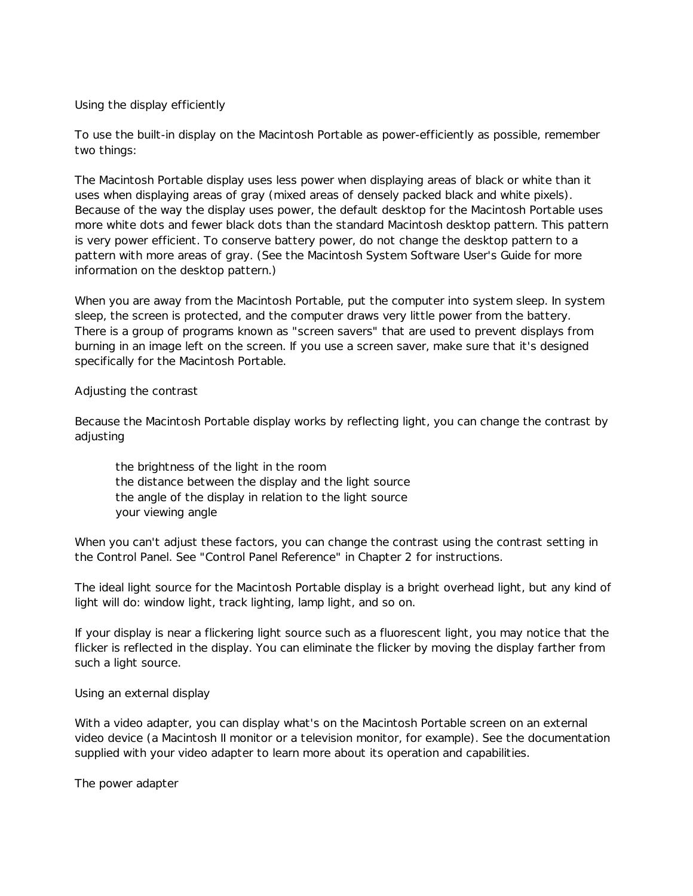#### Using the display efficiently

To use the built-in display on the Macintosh Portable as power-efficiently as possible, remember two things:

The Macintosh Portable display uses less power when displaying areas of black or white than it uses when displaying areas of gray (mixed areas of densely packed black and white pixels). Because of the way the display uses power, the default desktop for the Macintosh Portable uses more white dots and fewer black dots than the standard Macintosh desktop pattern. This pattern is very power efficient. To conserve battery power, do not change the desktop pattern to a pattern with more areas of gray. (See the Macintosh System Software User's Guide for more information on the desktop pattern.)

When you are away from the Macintosh Portable, put the computer into system sleep. In system sleep, the screen is protected, and the computer draws very little power from the battery. There is a group of programs known as "screen savers" that are used to prevent displays from burning in an image left on the screen. If you use a screen saver, make sure that it's designed specifically for the Macintosh Portable.

## Adjusting the contrast

Because the Macintosh Portable display works by reflecting light, you can change the contrast by adjusting

the brightness of the light in the room the distance between the display and the light source the angle of the display in relation to the light source your viewing angle

When you can't adjust these factors, you can change the contrast using the contrast setting in the Control Panel. See "Control Panel Reference" in Chapter 2 for instructions.

The ideal light source for the Macintosh Portable display is a bright overhead light, but any kind of light will do: window light, track lighting, lamp light, and so on.

If your display is near a flickering light source such as a fluorescent light, you may notice that the flicker is reflected in the display. You can eliminate the flicker by moving the display farther from such a light source.

Using an external display

With a video adapter, you can display what's on the Macintosh Portable screen on an external video device (a Macintosh II monitor or a television monitor, for example). See the documentation supplied with your video adapter to learn more about its operation and capabilities.

The power adapter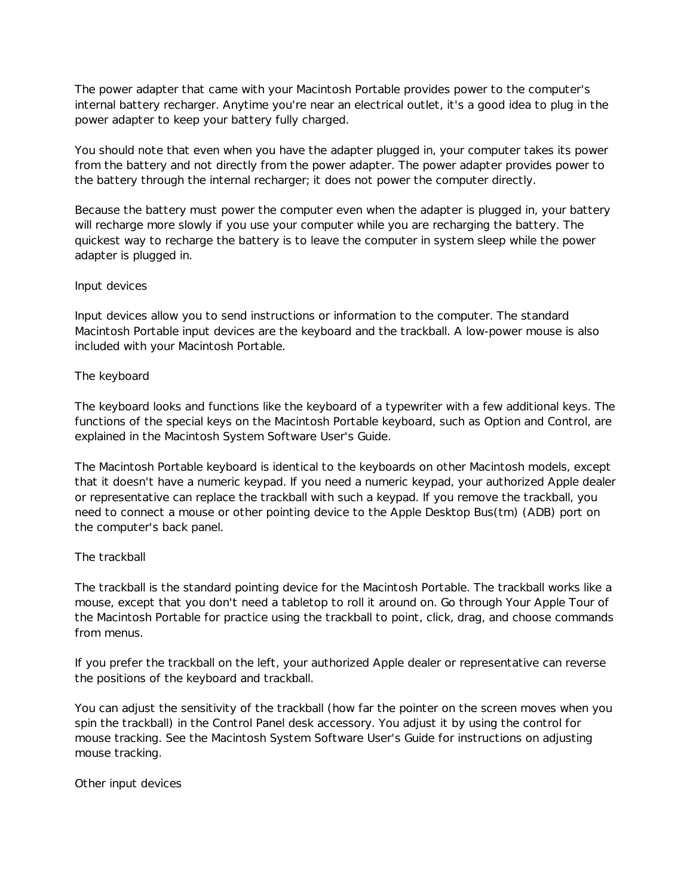The power adapter that came with your Macintosh Portable provides power to the computer's internal battery recharger. Anytime you're near an electrical outlet, it's a good idea to plug in the power adapter to keep your battery fully charged.

You should note that even when you have the adapter plugged in, your computer takes its power from the battery and not directly from the power adapter. The power adapter provides power to the battery through the internal recharger; it does not power the computer directly.

Because the battery must power the computer even when the adapter is plugged in, your battery will recharge more slowly if you use your computer while you are recharging the battery. The quickest way to recharge the battery is to leave the computer in system sleep while the power adapter is plugged in.

# Input devices

Input devices allow you to send instructions or information to the computer. The standard Macintosh Portable input devices are the keyboard and the trackball. A low-power mouse is also included with your Macintosh Portable.

## The keyboard

The keyboard looks and functions like the keyboard of a typewriter with a few additional keys. The functions of the special keys on the Macintosh Portable keyboard, such as Option and Control, are explained in the Macintosh System Software User's Guide.

The Macintosh Portable keyboard is identical to the keyboards on other Macintosh models, except that it doesn't have a numeric keypad. If you need a numeric keypad, your authorized Apple dealer or representative can replace the trackball with such a keypad. If you remove the trackball, you need to connect a mouse or other pointing device to the Apple Desktop Bus(tm) (ADB) port on the computer's back panel.

# The trackball

The trackball is the standard pointing device for the Macintosh Portable. The trackball works like a mouse, except that you don't need a tabletop to roll it around on. Go through Your Apple Tour of the Macintosh Portable for practice using the trackball to point, click, drag, and choose commands from menus.

If you prefer the trackball on the left, your authorized Apple dealer or representative can reverse the positions of the keyboard and trackball.

You can adjust the sensitivity of the trackball (how far the pointer on the screen moves when you spin the trackball) in the Control Panel desk accessory. You adjust it by using the control for mouse tracking. See the Macintosh System Software User's Guide for instructions on adjusting mouse tracking.

Other input devices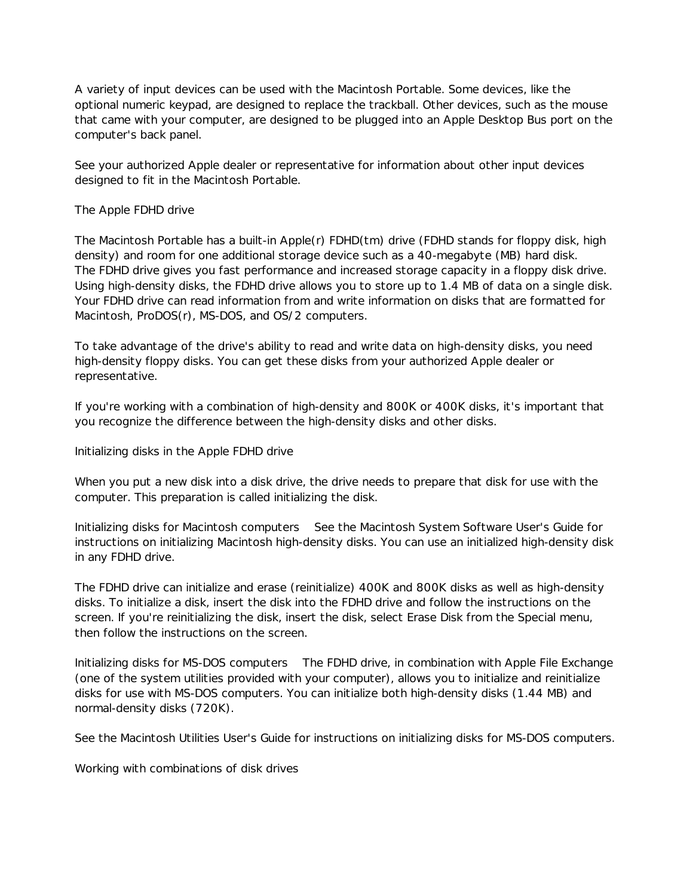A variety of input devices can be used with the Macintosh Portable. Some devices, like the optional numeric keypad, are designed to replace the trackball. Other devices, such as the mouse that came with your computer, are designed to be plugged into an Apple Desktop Bus port on the computer's back panel.

See your authorized Apple dealer or representative for information about other input devices designed to fit in the Macintosh Portable.

# The Apple FDHD drive

The Macintosh Portable has a built-in Apple(r) FDHD(tm) drive (FDHD stands for floppy disk, high density) and room for one additional storage device such as a 40-megabyte (MB) hard disk. The FDHD drive gives you fast performance and increased storage capacity in a floppy disk drive. Using high-density disks, the FDHD drive allows you to store up to 1.4 MB of data on a single disk. Your FDHD drive can read information from and write information on disks that are formatted for Macintosh, ProDOS(r), MS-DOS, and OS/2 computers.

To take advantage of the drive's ability to read and write data on high-density disks, you need high-density floppy disks. You can get these disks from your authorized Apple dealer or representative.

If you're working with a combination of high-density and 800K or 400K disks, it's important that you recognize the difference between the high-density disks and other disks.

Initializing disks in the Apple FDHD drive

When you put a new disk into a disk drive, the drive needs to prepare that disk for use with the computer. This preparation is called initializing the disk.

Initializing disks for Macintosh computers See the Macintosh System Software User's Guide for instructions on initializing Macintosh high-density disks. You can use an initialized high-density disk in any FDHD drive.

The FDHD drive can initialize and erase (reinitialize) 400K and 800K disks as well as high-density disks. To initialize a disk, insert the disk into the FDHD drive and follow the instructions on the screen. If you're reinitializing the disk, insert the disk, select Erase Disk from the Special menu, then follow the instructions on the screen.

Initializing disks for MS-DOS computers The FDHD drive, in combination with Apple File Exchange (one of the system utilities provided with your computer), allows you to initialize and reinitialize disks for use with MS-DOS computers. You can initialize both high-density disks (1.44 MB) and normal-density disks (720K).

See the Macintosh Utilities User's Guide for instructions on initializing disks for MS-DOS computers.

Working with combinations of disk drives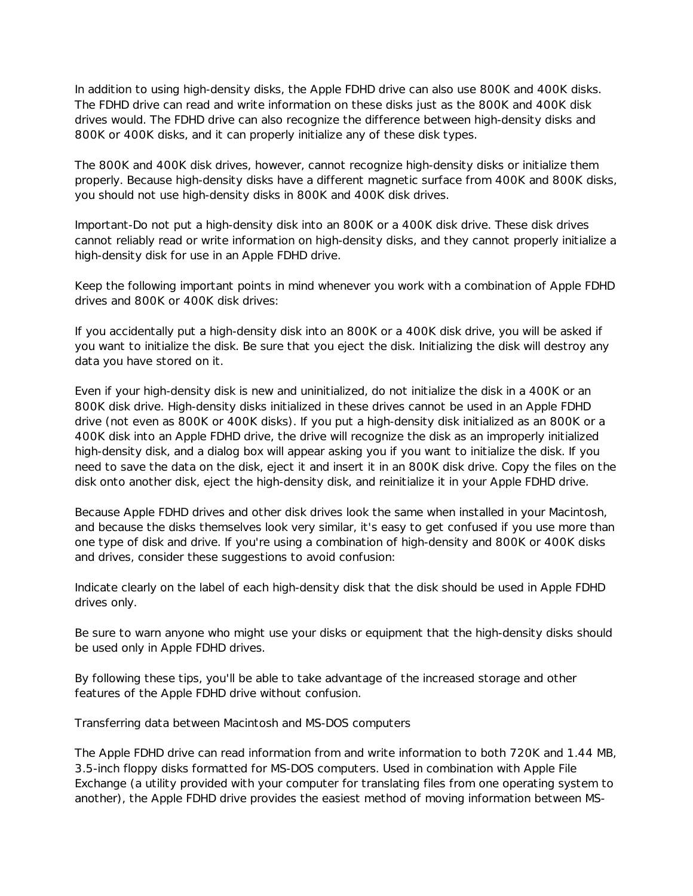In addition to using high-density disks, the Apple FDHD drive can also use 800K and 400K disks. The FDHD drive can read and write information on these disks just as the 800K and 400K disk drives would. The FDHD drive can also recognize the difference between high-density disks and 800K or 400K disks, and it can properly initialize any of these disk types.

The 800K and 400K disk drives, however, cannot recognize high-density disks or initialize them properly. Because high-density disks have a different magnetic surface from 400K and 800K disks, you should not use high-density disks in 800K and 400K disk drives.

Important-Do not put a high-density disk into an 800K or a 400K disk drive. These disk drives cannot reliably read or write information on high-density disks, and they cannot properly initialize a high-density disk for use in an Apple FDHD drive.

Keep the following important points in mind whenever you work with a combination of Apple FDHD drives and 800K or 400K disk drives:

If you accidentally put a high-density disk into an 800K or a 400K disk drive, you will be asked if you want to initialize the disk. Be sure that you eject the disk. Initializing the disk will destroy any data you have stored on it.

Even if your high-density disk is new and uninitialized, do not initialize the disk in a 400K or an 800K disk drive. High-density disks initialized in these drives cannot be used in an Apple FDHD drive (not even as 800K or 400K disks). If you put a high-density disk initialized as an 800K or a 400K disk into an Apple FDHD drive, the drive will recognize the disk as an improperly initialized high-density disk, and a dialog box will appear asking you if you want to initialize the disk. If you need to save the data on the disk, eject it and insert it in an 800K disk drive. Copy the files on the disk onto another disk, eject the high-density disk, and reinitialize it in your Apple FDHD drive.

Because Apple FDHD drives and other disk drives look the same when installed in your Macintosh, and because the disks themselves look very similar, it's easy to get confused if you use more than one type of disk and drive. If you're using a combination of high-density and 800K or 400K disks and drives, consider these suggestions to avoid confusion:

Indicate clearly on the label of each high-density disk that the disk should be used in Apple FDHD drives only.

Be sure to warn anyone who might use your disks or equipment that the high-density disks should be used only in Apple FDHD drives.

By following these tips, you'll be able to take advantage of the increased storage and other features of the Apple FDHD drive without confusion.

Transferring data between Macintosh and MS-DOS computers

The Apple FDHD drive can read information from and write information to both 720K and 1.44 MB, 3.5-inch floppy disks formatted for MS-DOS computers. Used in combination with Apple File Exchange (a utility provided with your computer for translating files from one operating system to another), the Apple FDHD drive provides the easiest method of moving information between MS-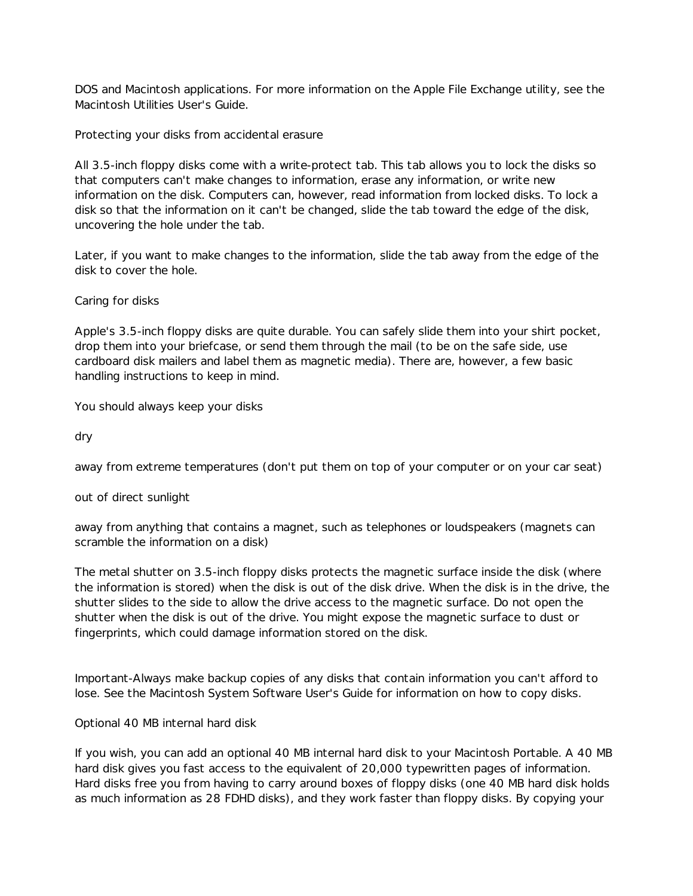DOS and Macintosh applications. For more information on the Apple File Exchange utility, see the Macintosh Utilities User's Guide.

Protecting your disks from accidental erasure

All 3.5-inch floppy disks come with a write-protect tab. This tab allows you to lock the disks so that computers can't make changes to information, erase any information, or write new information on the disk. Computers can, however, read information from locked disks. To lock a disk so that the information on it can't be changed, slide the tab toward the edge of the disk, uncovering the hole under the tab.

Later, if you want to make changes to the information, slide the tab away from the edge of the disk to cover the hole.

Caring for disks

Apple's 3.5-inch floppy disks are quite durable. You can safely slide them into your shirt pocket, drop them into your briefcase, or send them through the mail (to be on the safe side, use cardboard disk mailers and label them as magnetic media). There are, however, a few basic handling instructions to keep in mind.

You should always keep your disks

dry

away from extreme temperatures (don't put them on top of your computer or on your car seat)

out of direct sunlight

away from anything that contains a magnet, such as telephones or loudspeakers (magnets can scramble the information on a disk)

The metal shutter on 3.5-inch floppy disks protects the magnetic surface inside the disk (where the information is stored) when the disk is out of the disk drive. When the disk is in the drive, the shutter slides to the side to allow the drive access to the magnetic surface. Do not open the shutter when the disk is out of the drive. You might expose the magnetic surface to dust or fingerprints, which could damage information stored on the disk.

Important-Always make backup copies of any disks that contain information you can't afford to lose. See the Macintosh System Software User's Guide for information on how to copy disks.

Optional 40 MB internal hard disk

If you wish, you can add an optional 40 MB internal hard disk to your Macintosh Portable. A 40 MB hard disk gives you fast access to the equivalent of 20,000 typewritten pages of information. Hard disks free you from having to carry around boxes of floppy disks (one 40 MB hard disk holds as much information as 28 FDHD disks), and they work faster than floppy disks. By copying your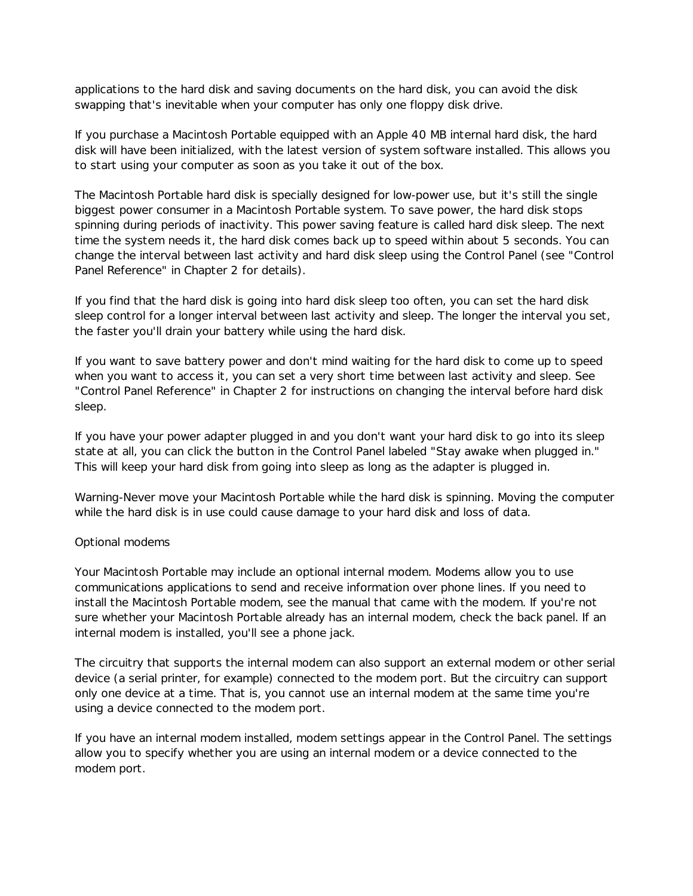applications to the hard disk and saving documents on the hard disk, you can avoid the disk swapping that's inevitable when your computer has only one floppy disk drive.

If you purchase a Macintosh Portable equipped with an Apple 40 MB internal hard disk, the hard disk will have been initialized, with the latest version of system software installed. This allows you to start using your computer as soon as you take it out of the box.

The Macintosh Portable hard disk is specially designed for low-power use, but it's still the single biggest power consumer in a Macintosh Portable system. To save power, the hard disk stops spinning during periods of inactivity. This power saving feature is called hard disk sleep. The next time the system needs it, the hard disk comes back up to speed within about 5 seconds. You can change the interval between last activity and hard disk sleep using the Control Panel (see "Control Panel Reference" in Chapter 2 for details).

If you find that the hard disk is going into hard disk sleep too often, you can set the hard disk sleep control for a longer interval between last activity and sleep. The longer the interval you set, the faster you'll drain your battery while using the hard disk.

If you want to save battery power and don't mind waiting for the hard disk to come up to speed when you want to access it, you can set a very short time between last activity and sleep. See "Control Panel Reference" in Chapter 2 for instructions on changing the interval before hard disk sleep.

If you have your power adapter plugged in and you don't want your hard disk to go into its sleep state at all, you can click the button in the Control Panel labeled "Stay awake when plugged in." This will keep your hard disk from going into sleep as long as the adapter is plugged in.

Warning-Never move your Macintosh Portable while the hard disk is spinning. Moving the computer while the hard disk is in use could cause damage to your hard disk and loss of data.

# Optional modems

Your Macintosh Portable may include an optional internal modem. Modems allow you to use communications applications to send and receive information over phone lines. If you need to install the Macintosh Portable modem, see the manual that came with the modem. If you're not sure whether your Macintosh Portable already has an internal modem, check the back panel. If an internal modem is installed, you'll see a phone jack.

The circuitry that supports the internal modem can also support an external modem or other serial device (a serial printer, for example) connected to the modem port. But the circuitry can support only one device at a time. That is, you cannot use an internal modem at the same time you're using a device connected to the modem port.

If you have an internal modem installed, modem settings appear in the Control Panel. The settings allow you to specify whether you are using an internal modem or a device connected to the modem port.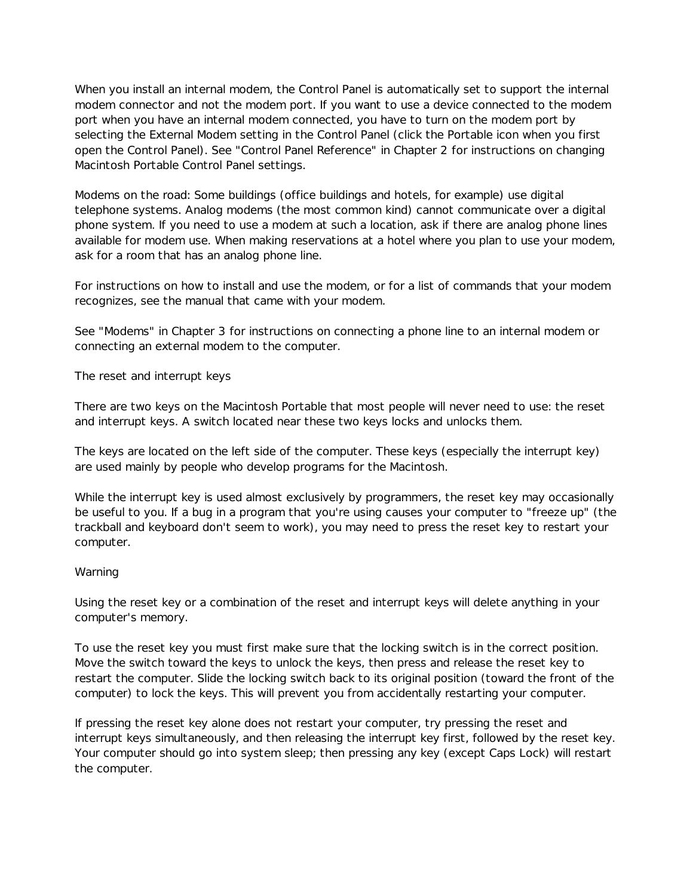When you install an internal modem, the Control Panel is automatically set to support the internal modem connector and not the modem port. If you want to use a device connected to the modem port when you have an internal modem connected, you have to turn on the modem port by selecting the External Modem setting in the Control Panel (click the Portable icon when you first open the Control Panel). See "Control Panel Reference" in Chapter 2 for instructions on changing Macintosh Portable Control Panel settings.

Modems on the road: Some buildings (office buildings and hotels, for example) use digital telephone systems. Analog modems (the most common kind) cannot communicate over a digital phone system. If you need to use a modem at such a location, ask if there are analog phone lines available for modem use. When making reservations at a hotel where you plan to use your modem, ask for a room that has an analog phone line.

For instructions on how to install and use the modem, or for a list of commands that your modem recognizes, see the manual that came with your modem.

See "Modems" in Chapter 3 for instructions on connecting a phone line to an internal modem or connecting an external modem to the computer.

The reset and interrupt keys

There are two keys on the Macintosh Portable that most people will never need to use: the reset and interrupt keys. A switch located near these two keys locks and unlocks them.

The keys are located on the left side of the computer. These keys (especially the interrupt key) are used mainly by people who develop programs for the Macintosh.

While the interrupt key is used almost exclusively by programmers, the reset key may occasionally be useful to you. If a bug in a program that you're using causes your computer to "freeze up" (the trackball and keyboard don't seem to work), you may need to press the reset key to restart your computer.

# Warning

Using the reset key or a combination of the reset and interrupt keys will delete anything in your computer's memory.

To use the reset key you must first make sure that the locking switch is in the correct position. Move the switch toward the keys to unlock the keys, then press and release the reset key to restart the computer. Slide the locking switch back to its original position (toward the front of the computer) to lock the keys. This will prevent you from accidentally restarting your computer.

If pressing the reset key alone does not restart your computer, try pressing the reset and interrupt keys simultaneously, and then releasing the interrupt key first, followed by the reset key. Your computer should go into system sleep; then pressing any key (except Caps Lock) will restart the computer.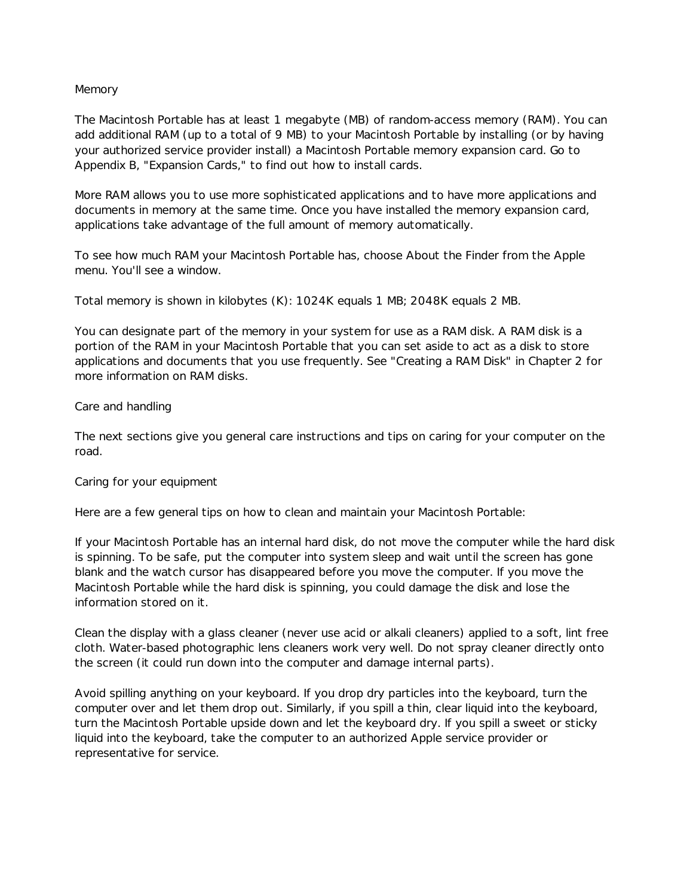## Memory

The Macintosh Portable has at least 1 megabyte (MB) of random-access memory (RAM). You can add additional RAM (up to a total of 9 MB) to your Macintosh Portable by installing (or by having your authorized service provider install) a Macintosh Portable memory expansion card. Go to Appendix B, "Expansion Cards," to find out how to install cards.

More RAM allows you to use more sophisticated applications and to have more applications and documents in memory at the same time. Once you have installed the memory expansion card, applications take advantage of the full amount of memory automatically.

To see how much RAM your Macintosh Portable has, choose About the Finder from the Apple menu. You'll see a window.

Total memory is shown in kilobytes (K): 1024K equals 1 MB; 2048K equals 2 MB.

You can designate part of the memory in your system for use as a RAM disk. A RAM disk is a portion of the RAM in your Macintosh Portable that you can set aside to act as a disk to store applications and documents that you use frequently. See "Creating a RAM Disk" in Chapter 2 for more information on RAM disks.

## Care and handling

The next sections give you general care instructions and tips on caring for your computer on the road.

#### Caring for your equipment

Here are a few general tips on how to clean and maintain your Macintosh Portable:

If your Macintosh Portable has an internal hard disk, do not move the computer while the hard disk is spinning. To be safe, put the computer into system sleep and wait until the screen has gone blank and the watch cursor has disappeared before you move the computer. If you move the Macintosh Portable while the hard disk is spinning, you could damage the disk and lose the information stored on it.

Clean the display with a glass cleaner (never use acid or alkali cleaners) applied to a soft, lint free cloth. Water-based photographic lens cleaners work very well. Do not spray cleaner directly onto the screen (it could run down into the computer and damage internal parts).

Avoid spilling anything on your keyboard. If you drop dry particles into the keyboard, turn the computer over and let them drop out. Similarly, if you spill a thin, clear liquid into the keyboard, turn the Macintosh Portable upside down and let the keyboard dry. If you spill a sweet or sticky liquid into the keyboard, take the computer to an authorized Apple service provider or representative for service.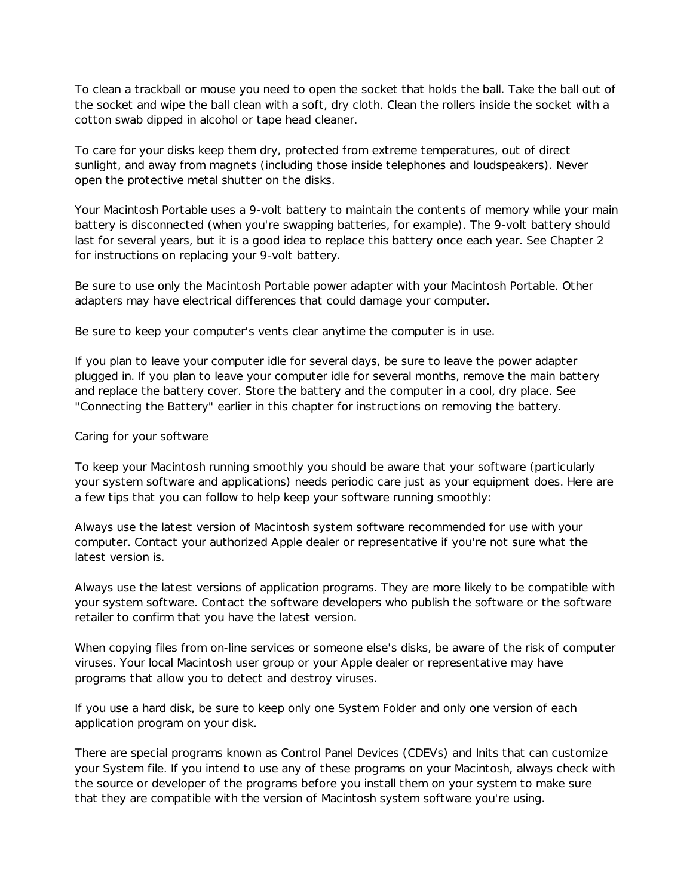To clean a trackball or mouse you need to open the socket that holds the ball. Take the ball out of the socket and wipe the ball clean with a soft, dry cloth. Clean the rollers inside the socket with a cotton swab dipped in alcohol or tape head cleaner.

To care for your disks keep them dry, protected from extreme temperatures, out of direct sunlight, and away from magnets (including those inside telephones and loudspeakers). Never open the protective metal shutter on the disks.

Your Macintosh Portable uses a 9-volt battery to maintain the contents of memory while your main battery is disconnected (when you're swapping batteries, for example). The 9-volt battery should last for several years, but it is a good idea to replace this battery once each year. See Chapter 2 for instructions on replacing your 9-volt battery.

Be sure to use only the Macintosh Portable power adapter with your Macintosh Portable. Other adapters may have electrical differences that could damage your computer.

Be sure to keep your computer's vents clear anytime the computer is in use.

If you plan to leave your computer idle for several days, be sure to leave the power adapter plugged in. If you plan to leave your computer idle for several months, remove the main battery and replace the battery cover. Store the battery and the computer in a cool, dry place. See "Connecting the Battery" earlier in this chapter for instructions on removing the battery.

## Caring for your software

To keep your Macintosh running smoothly you should be aware that your software (particularly your system software and applications) needs periodic care just as your equipment does. Here are a few tips that you can follow to help keep your software running smoothly:

Always use the latest version of Macintosh system software recommended for use with your computer. Contact your authorized Apple dealer or representative if you're not sure what the latest version is.

Always use the latest versions of application programs. They are more likely to be compatible with your system software. Contact the software developers who publish the software or the software retailer to confirm that you have the latest version.

When copying files from on-line services or someone else's disks, be aware of the risk of computer viruses. Your local Macintosh user group or your Apple dealer or representative may have programs that allow you to detect and destroy viruses.

If you use a hard disk, be sure to keep only one System Folder and only one version of each application program on your disk.

There are special programs known as Control Panel Devices (CDEVs) and Inits that can customize your System file. If you intend to use any of these programs on your Macintosh, always check with the source or developer of the programs before you install them on your system to make sure that they are compatible with the version of Macintosh system software you're using.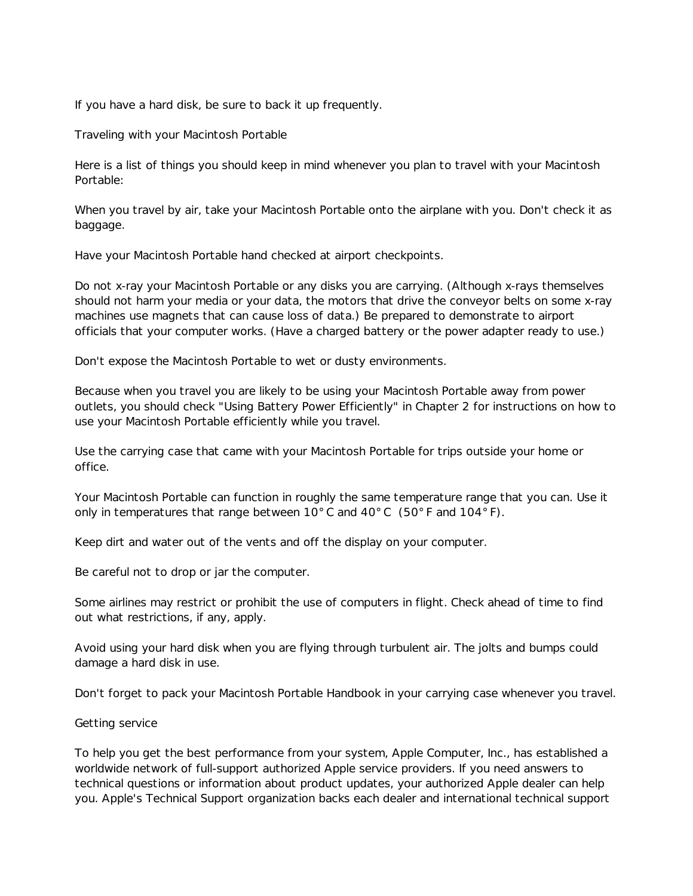If you have a hard disk, be sure to back it up frequently.

Traveling with your Macintosh Portable

Here is a list of things you should keep in mind whenever you plan to travel with your Macintosh Portable:

When you travel by air, take your Macintosh Portable onto the airplane with you. Don't check it as baggage.

Have your Macintosh Portable hand checked at airport checkpoints.

Do not x-ray your Macintosh Portable or any disks you are carrying. (Although x-rays themselves should not harm your media or your data, the motors that drive the conveyor belts on some x-ray machines use magnets that can cause loss of data.) Be prepared to demonstrate to airport officials that your computer works. (Have a charged battery or the power adapter ready to use.)

Don't expose the Macintosh Portable to wet or dusty environments.

Because when you travel you are likely to be using your Macintosh Portable away from power outlets, you should check "Using Battery Power Efficiently" in Chapter 2 for instructions on how to use your Macintosh Portable efficiently while you travel.

Use the carrying case that came with your Macintosh Portable for trips outside your home or office.

Your Macintosh Portable can function in roughly the same temperature range that you can. Use it only in temperatures that range between 10 $^{\circ}$  C and 40 $^{\circ}$  C (50 $^{\circ}$  F and 104 $^{\circ}$  F).

Keep dirt and water out of the vents and off the display on your computer.

Be careful not to drop or jar the computer.

Some airlines may restrict or prohibit the use of computers in flight. Check ahead of time to find out what restrictions, if any, apply.

Avoid using your hard disk when you are flying through turbulent air. The jolts and bumps could damage a hard disk in use.

Don't forget to pack your Macintosh Portable Handbook in your carrying case whenever you travel.

#### Getting service

To help you get the best performance from your system, Apple Computer, Inc., has established a worldwide network of full-support authorized Apple service providers. If you need answers to technical questions or information about product updates, your authorized Apple dealer can help you. Apple's Technical Support organization backs each dealer and international technical support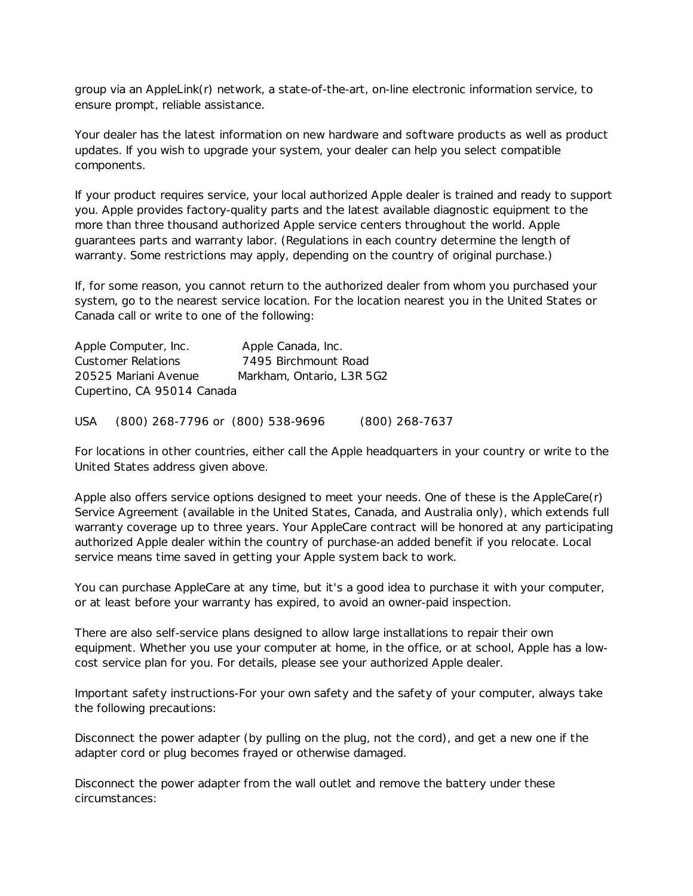group via an AppleLink(r) network, a state-of-the-art, on-line electronic information service, to ensure prompt, reliable assistance.

Your dealer has the latest information on new hardware and software products as well as product updates. If you wish to upgrade your system, your dealer can help you select compatible components.

If your product requires service, your local authorized Apple dealer is trained and ready to support you. Apple provides factory-quality parts and the latest available diagnostic equipment to the more than three thousand authorized Apple service centers throughout the world. Apple guarantees parts and warranty labor. (Regulations in each country determine the length of warranty. Some restrictions may apply, depending on the country of original purchase.)

If, for some reason, you cannot return to the authorized dealer from whom you purchased your system, go to the nearest service location. For the location nearest you in the United States or Canada call or write to one of the following:

| Apple Computer, Inc.       | Apple Canada, Inc.        |
|----------------------------|---------------------------|
| <b>Customer Relations</b>  | 7495 Birchmount Road      |
| 20525 Mariani Avenue       | Markham, Ontario, L3R 5G2 |
| Cupertino, CA 95014 Canada |                           |

USA (800) 268-7796 or (800) 538-9696 (800) 268-7637

For locations in other countries, either call the Apple headquarters in your country or write to the United States address given above.

Apple also offers service options designed to meet your needs. One of these is the AppleCare(r) Service Agreement (available in the United States, Canada, and Australia only), which extends full warranty coverage up to three years. Your AppleCare contract will be honored at any participating authorized Apple dealer within the country of purchase-an added benefit if you relocate. Local service means time saved in getting your Apple system back to work.

You can purchase AppleCare at any time, but it's a good idea to purchase it with your computer, or at least before your warranty has expired, to avoid an owner-paid inspection.

There are also self-service plans designed to allow large installations to repair their own equipment. Whether you use your computer at home, in the office, or at school, Apple has a lowcost service plan for you. For details, please see your authorized Apple dealer.

Important safety instructions-For your own safety and the safety of your computer, always take the following precautions:

Disconnect the power adapter (by pulling on the plug, not the cord), and get a new one if the adapter cord or plug becomes frayed or otherwise damaged.

Disconnect the power adapter from the wall outlet and remove the battery under these circumstances: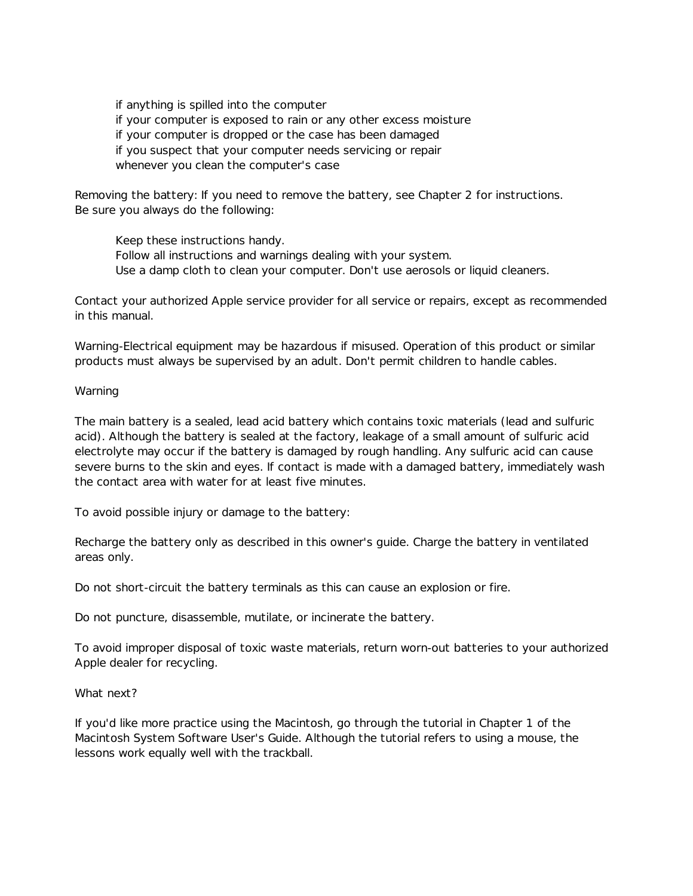if anything is spilled into the computer if your computer is exposed to rain or any other excess moisture if your computer is dropped or the case has been damaged if you suspect that your computer needs servicing or repair whenever you clean the computer's case

Removing the battery: If you need to remove the battery, see Chapter 2 for instructions. Be sure you always do the following:

Keep these instructions handy. Follow all instructions and warnings dealing with your system. Use a damp cloth to clean your computer. Don't use aerosols or liquid cleaners.

Contact your authorized Apple service provider for all service or repairs, except as recommended in this manual.

Warning-Electrical equipment may be hazardous if misused. Operation of this product or similar products must always be supervised by an adult. Don't permit children to handle cables.

Warning

The main battery is a sealed, lead acid battery which contains toxic materials (lead and sulfuric acid). Although the battery is sealed at the factory, leakage of a small amount of sulfuric acid electrolyte may occur if the battery is damaged by rough handling. Any sulfuric acid can cause severe burns to the skin and eyes. If contact is made with a damaged battery, immediately wash the contact area with water for at least five minutes.

To avoid possible injury or damage to the battery:

Recharge the battery only as described in this owner's guide. Charge the battery in ventilated areas only.

Do not short-circuit the battery terminals as this can cause an explosion or fire.

Do not puncture, disassemble, mutilate, or incinerate the battery.

To avoid improper disposal of toxic waste materials, return worn-out batteries to your authorized Apple dealer for recycling.

What next?

If you'd like more practice using the Macintosh, go through the tutorial in Chapter 1 of the Macintosh System Software User's Guide. Although the tutorial refers to using a mouse, the lessons work equally well with the trackball.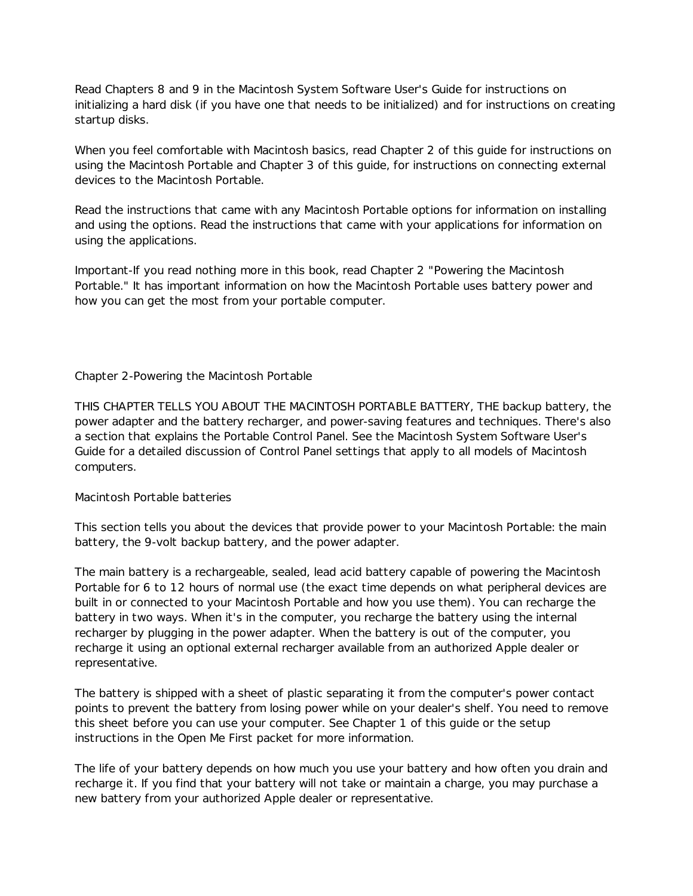Read Chapters 8 and 9 in the Macintosh System Software User's Guide for instructions on initializing a hard disk (if you have one that needs to be initialized) and for instructions on creating startup disks.

When you feel comfortable with Macintosh basics, read Chapter 2 of this guide for instructions on using the Macintosh Portable and Chapter 3 of this guide, for instructions on connecting external devices to the Macintosh Portable.

Read the instructions that came with any Macintosh Portable options for information on installing and using the options. Read the instructions that came with your applications for information on using the applications.

Important-If you read nothing more in this book, read Chapter 2 "Powering the Macintosh Portable." It has important information on how the Macintosh Portable uses battery power and how you can get the most from your portable computer.

## Chapter 2-Powering the Macintosh Portable

THIS CHAPTER TELLS YOU ABOUT THE MACINTOSH PORTABLE BATTERY, THE backup battery, the power adapter and the battery recharger, and power-saving features and techniques. There's also a section that explains the Portable Control Panel. See the Macintosh System Software User's Guide for a detailed discussion of Control Panel settings that apply to all models of Macintosh computers.

## Macintosh Portable batteries

This section tells you about the devices that provide power to your Macintosh Portable: the main battery, the 9-volt backup battery, and the power adapter.

The main battery is a rechargeable, sealed, lead acid battery capable of powering the Macintosh Portable for 6 to 12 hours of normal use (the exact time depends on what peripheral devices are built in or connected to your Macintosh Portable and how you use them). You can recharge the battery in two ways. When it's in the computer, you recharge the battery using the internal recharger by plugging in the power adapter. When the battery is out of the computer, you recharge it using an optional external recharger available from an authorized Apple dealer or representative.

The battery is shipped with a sheet of plastic separating it from the computer's power contact points to prevent the battery from losing power while on your dealer's shelf. You need to remove this sheet before you can use your computer. See Chapter 1 of this guide or the setup instructions in the Open Me First packet for more information.

The life of your battery depends on how much you use your battery and how often you drain and recharge it. If you find that your battery will not take or maintain a charge, you may purchase a new battery from your authorized Apple dealer or representative.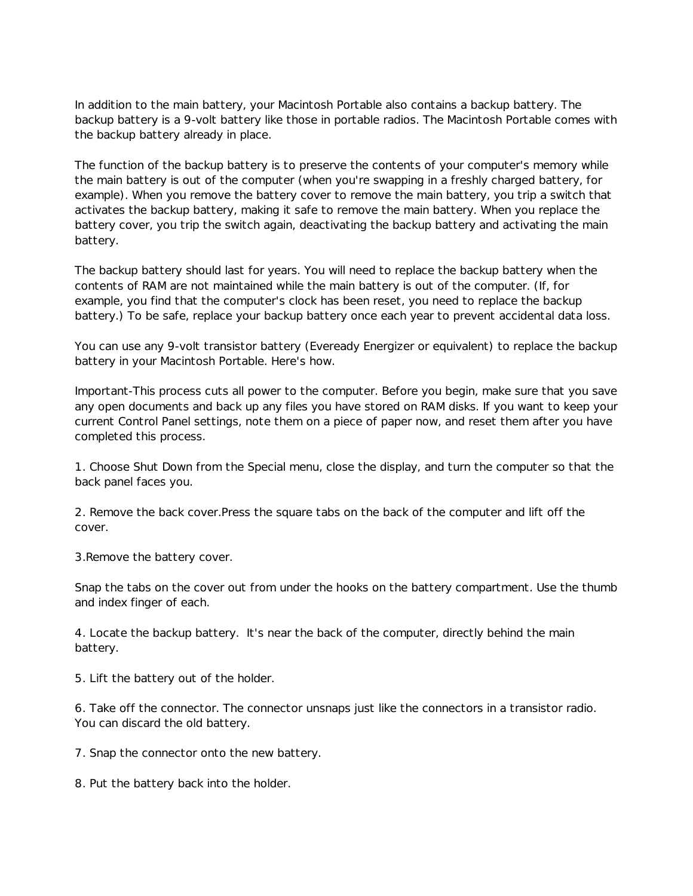In addition to the main battery, your Macintosh Portable also contains a backup battery. The backup battery is a 9-volt battery like those in portable radios. The Macintosh Portable comes with the backup battery already in place.

The function of the backup battery is to preserve the contents of your computer's memory while the main battery is out of the computer (when you're swapping in a freshly charged battery, for example). When you remove the battery cover to remove the main battery, you trip a switch that activates the backup battery, making it safe to remove the main battery. When you replace the battery cover, you trip the switch again, deactivating the backup battery and activating the main battery.

The backup battery should last for years. You will need to replace the backup battery when the contents of RAM are not maintained while the main battery is out of the computer. (If, for example, you find that the computer's clock has been reset, you need to replace the backup battery.) To be safe, replace your backup battery once each year to prevent accidental data loss.

You can use any 9-volt transistor battery (Eveready Energizer or equivalent) to replace the backup battery in your Macintosh Portable. Here's how.

Important-This process cuts all power to the computer. Before you begin, make sure that you save any open documents and back up any files you have stored on RAM disks. If you want to keep your current Control Panel settings, note them on a piece of paper now, and reset them after you have completed this process.

1. Choose Shut Down from the Special menu, close the display, and turn the computer so that the back panel faces you.

2. Remove the back cover.Press the square tabs on the back of the computer and lift off the cover.

3.Remove the battery cover.

Snap the tabs on the cover out from under the hooks on the battery compartment. Use the thumb and index finger of each.

4. Locate the backup battery. It's near the back of the computer, directly behind the main battery.

5. Lift the battery out of the holder.

6. Take off the connector. The connector unsnaps just like the connectors in a transistor radio. You can discard the old battery.

7. Snap the connector onto the new battery.

8. Put the battery back into the holder.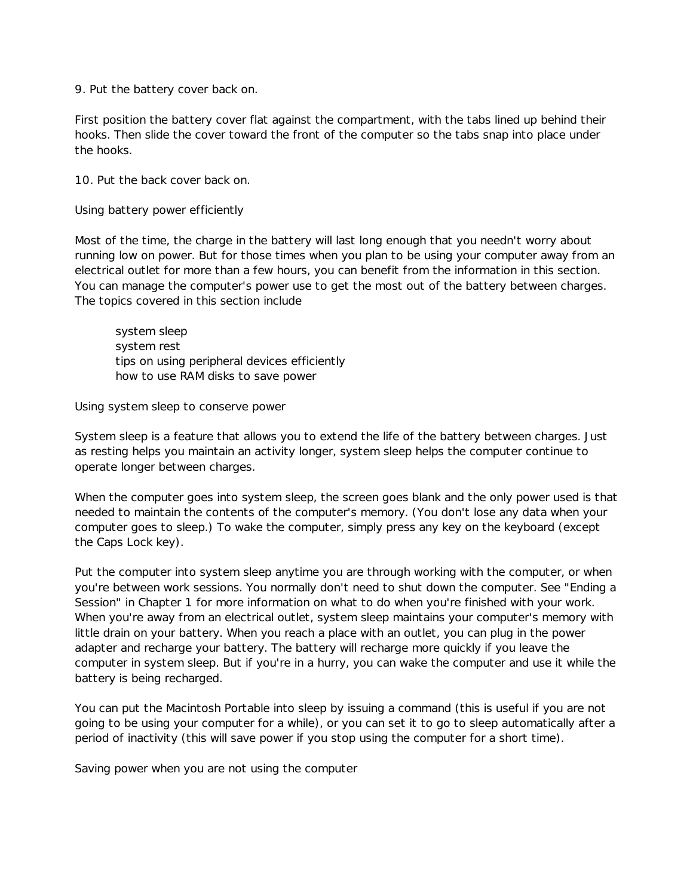9. Put the battery cover back on.

First position the battery cover flat against the compartment, with the tabs lined up behind their hooks. Then slide the cover toward the front of the computer so the tabs snap into place under the hooks.

10. Put the back cover back on.

Using battery power efficiently

Most of the time, the charge in the battery will last long enough that you needn't worry about running low on power. But for those times when you plan to be using your computer away from an electrical outlet for more than a few hours, you can benefit from the information in this section. You can manage the computer's power use to get the most out of the battery between charges. The topics covered in this section include

system sleep system rest tips on using peripheral devices efficiently how to use RAM disks to save power

Using system sleep to conserve power

System sleep is a feature that allows you to extend the life of the battery between charges. Just as resting helps you maintain an activity longer, system sleep helps the computer continue to operate longer between charges.

When the computer goes into system sleep, the screen goes blank and the only power used is that needed to maintain the contents of the computer's memory. (You don't lose any data when your computer goes to sleep.) To wake the computer, simply press any key on the keyboard (except the Caps Lock key).

Put the computer into system sleep anytime you are through working with the computer, or when you're between work sessions. You normally don't need to shut down the computer. See "Ending a Session" in Chapter 1 for more information on what to do when you're finished with your work. When you're away from an electrical outlet, system sleep maintains your computer's memory with little drain on your battery. When you reach a place with an outlet, you can plug in the power adapter and recharge your battery. The battery will recharge more quickly if you leave the computer in system sleep. But if you're in a hurry, you can wake the computer and use it while the battery is being recharged.

You can put the Macintosh Portable into sleep by issuing a command (this is useful if you are not going to be using your computer for a while), or you can set it to go to sleep automatically after a period of inactivity (this will save power if you stop using the computer for a short time).

Saving power when you are not using the computer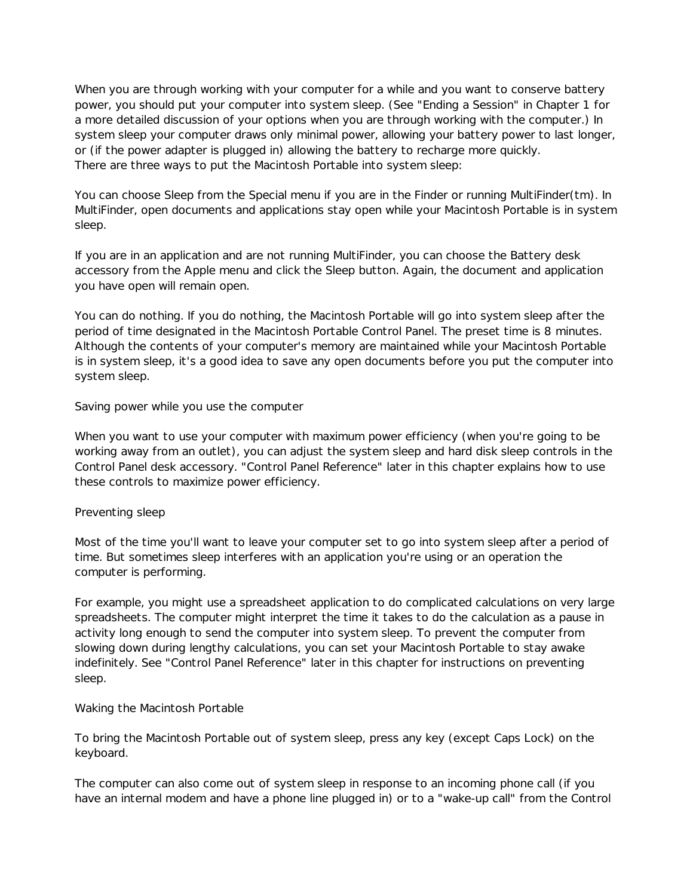When you are through working with your computer for a while and you want to conserve battery power, you should put your computer into system sleep. (See "Ending a Session" in Chapter 1 for a more detailed discussion of your options when you are through working with the computer.) In system sleep your computer draws only minimal power, allowing your battery power to last longer, or (if the power adapter is plugged in) allowing the battery to recharge more quickly. There are three ways to put the Macintosh Portable into system sleep:

You can choose Sleep from the Special menu if you are in the Finder or running MultiFinder(tm). In MultiFinder, open documents and applications stay open while your Macintosh Portable is in system sleep.

If you are in an application and are not running MultiFinder, you can choose the Battery desk accessory from the Apple menu and click the Sleep button. Again, the document and application you have open will remain open.

You can do nothing. If you do nothing, the Macintosh Portable will go into system sleep after the period of time designated in the Macintosh Portable Control Panel. The preset time is 8 minutes. Although the contents of your computer's memory are maintained while your Macintosh Portable is in system sleep, it's a good idea to save any open documents before you put the computer into system sleep.

Saving power while you use the computer

When you want to use your computer with maximum power efficiency (when you're going to be working away from an outlet), you can adjust the system sleep and hard disk sleep controls in the Control Panel desk accessory. "Control Panel Reference" later in this chapter explains how to use these controls to maximize power efficiency.

# Preventing sleep

Most of the time you'll want to leave your computer set to go into system sleep after a period of time. But sometimes sleep interferes with an application you're using or an operation the computer is performing.

For example, you might use a spreadsheet application to do complicated calculations on very large spreadsheets. The computer might interpret the time it takes to do the calculation as a pause in activity long enough to send the computer into system sleep. To prevent the computer from slowing down during lengthy calculations, you can set your Macintosh Portable to stay awake indefinitely. See "Control Panel Reference" later in this chapter for instructions on preventing sleep.

#### Waking the Macintosh Portable

To bring the Macintosh Portable out of system sleep, press any key (except Caps Lock) on the keyboard.

The computer can also come out of system sleep in response to an incoming phone call (if you have an internal modem and have a phone line plugged in) or to a "wake-up call" from the Control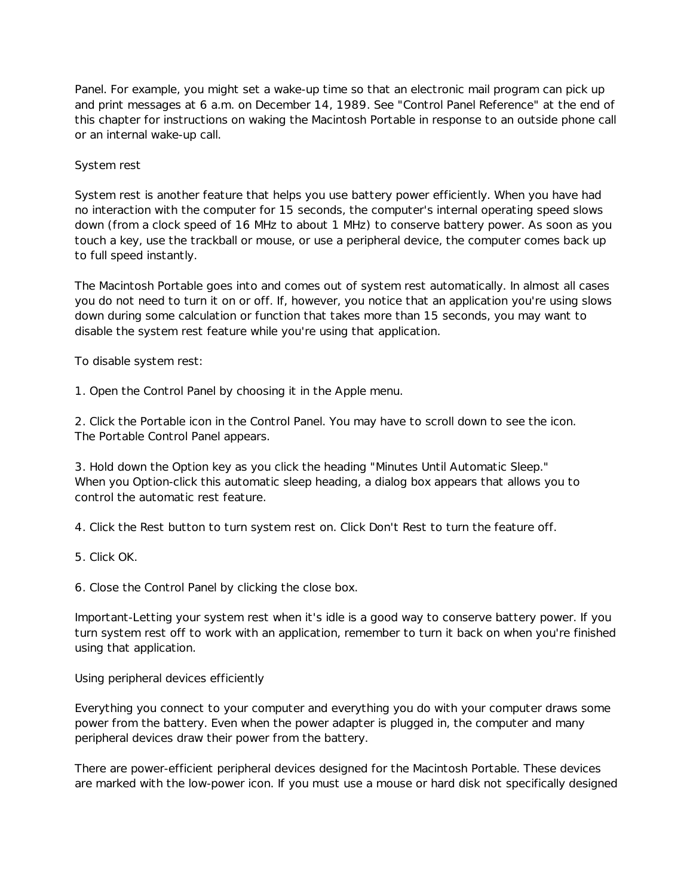Panel. For example, you might set a wake-up time so that an electronic mail program can pick up and print messages at 6 a.m. on December 14, 1989. See "Control Panel Reference" at the end of this chapter for instructions on waking the Macintosh Portable in response to an outside phone call or an internal wake-up call.

# System rest

System rest is another feature that helps you use battery power efficiently. When you have had no interaction with the computer for 15 seconds, the computer's internal operating speed slows down (from a clock speed of 16 MHz to about 1 MHz) to conserve battery power. As soon as you touch a key, use the trackball or mouse, or use a peripheral device, the computer comes back up to full speed instantly.

The Macintosh Portable goes into and comes out of system rest automatically. In almost all cases you do not need to turn it on or off. If, however, you notice that an application you're using slows down during some calculation or function that takes more than 15 seconds, you may want to disable the system rest feature while you're using that application.

To disable system rest:

1. Open the Control Panel by choosing it in the Apple menu.

2. Click the Portable icon in the Control Panel. You may have to scroll down to see the icon. The Portable Control Panel appears.

3. Hold down the Option key as you click the heading "Minutes Until Automatic Sleep." When you Option-click this automatic sleep heading, a dialog box appears that allows you to control the automatic rest feature.

4. Click the Rest button to turn system rest on. Click Don't Rest to turn the feature off.

5. Click OK.

6. Close the Control Panel by clicking the close box.

Important-Letting your system rest when it's idle is a good way to conserve battery power. If you turn system rest off to work with an application, remember to turn it back on when you're finished using that application.

Using peripheral devices efficiently

Everything you connect to your computer and everything you do with your computer draws some power from the battery. Even when the power adapter is plugged in, the computer and many peripheral devices draw their power from the battery.

There are power-efficient peripheral devices designed for the Macintosh Portable. These devices are marked with the low-power icon. If you must use a mouse or hard disk not specifically designed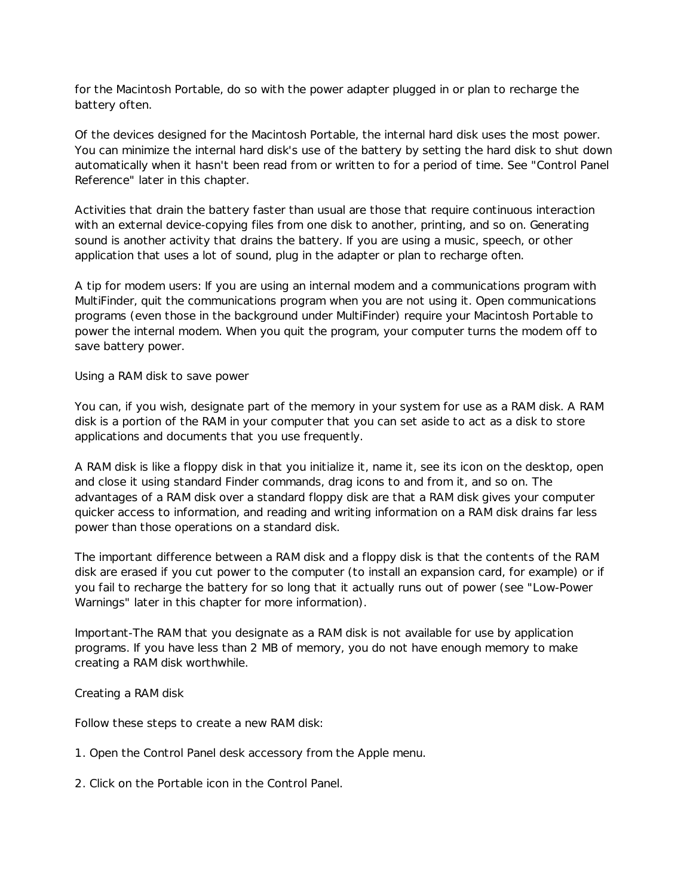for the Macintosh Portable, do so with the power adapter plugged in or plan to recharge the battery often.

Of the devices designed for the Macintosh Portable, the internal hard disk uses the most power. You can minimize the internal hard disk's use of the battery by setting the hard disk to shut down automatically when it hasn't been read from or written to for a period of time. See "Control Panel Reference" later in this chapter.

Activities that drain the battery faster than usual are those that require continuous interaction with an external device-copying files from one disk to another, printing, and so on. Generating sound is another activity that drains the battery. If you are using a music, speech, or other application that uses a lot of sound, plug in the adapter or plan to recharge often.

A tip for modem users: If you are using an internal modem and a communications program with MultiFinder, quit the communications program when you are not using it. Open communications programs (even those in the background under MultiFinder) require your Macintosh Portable to power the internal modem. When you quit the program, your computer turns the modem off to save battery power.

Using a RAM disk to save power

You can, if you wish, designate part of the memory in your system for use as a RAM disk. A RAM disk is a portion of the RAM in your computer that you can set aside to act as a disk to store applications and documents that you use frequently.

A RAM disk is like a floppy disk in that you initialize it, name it, see its icon on the desktop, open and close it using standard Finder commands, drag icons to and from it, and so on. The advantages of a RAM disk over a standard floppy disk are that a RAM disk gives your computer quicker access to information, and reading and writing information on a RAM disk drains far less power than those operations on a standard disk.

The important difference between a RAM disk and a floppy disk is that the contents of the RAM disk are erased if you cut power to the computer (to install an expansion card, for example) or if you fail to recharge the battery for so long that it actually runs out of power (see "Low-Power Warnings" later in this chapter for more information).

Important-The RAM that you designate as a RAM disk is not available for use by application programs. If you have less than 2 MB of memory, you do not have enough memory to make creating a RAM disk worthwhile.

Creating a RAM disk

Follow these steps to create a new RAM disk:

- 1. Open the Control Panel desk accessory from the Apple menu.
- 2. Click on the Portable icon in the Control Panel.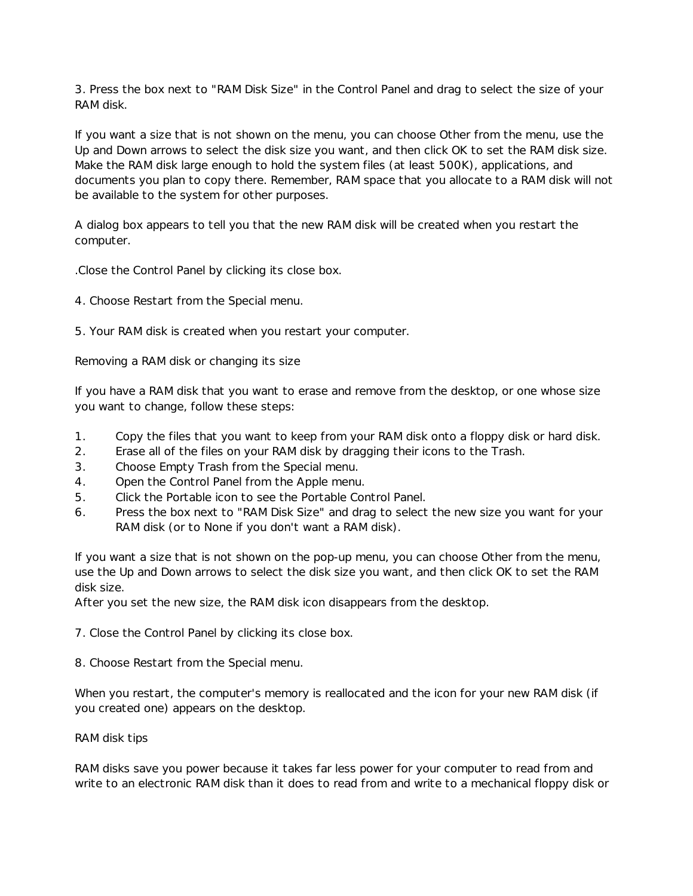3. Press the box next to "RAM Disk Size" in the Control Panel and drag to select the size of your RAM disk.

If you want a size that is not shown on the menu, you can choose Other from the menu, use the Up and Down arrows to select the disk size you want, and then click OK to set the RAM disk size. Make the RAM disk large enough to hold the system files (at least 500K), applications, and documents you plan to copy there. Remember, RAM space that you allocate to a RAM disk will not be available to the system for other purposes.

A dialog box appears to tell you that the new RAM disk will be created when you restart the computer.

.Close the Control Panel by clicking its close box.

- 4. Choose Restart from the Special menu.
- 5. Your RAM disk is created when you restart your computer.

Removing a RAM disk or changing its size

If you have a RAM disk that you want to erase and remove from the desktop, or one whose size you want to change, follow these steps:

- 1. Copy the files that you want to keep from your RAM disk onto a floppy disk or hard disk.
- 2. Erase all of the files on your RAM disk by dragging their icons to the Trash.
- 3. Choose Empty Trash from the Special menu.
- 4. Open the Control Panel from the Apple menu.
- 5. Click the Portable icon to see the Portable Control Panel.
- 6. Press the box next to "RAM Disk Size" and drag to select the new size you want for your RAM disk (or to None if you don't want a RAM disk).

If you want a size that is not shown on the pop-up menu, you can choose Other from the menu, use the Up and Down arrows to select the disk size you want, and then click OK to set the RAM disk size.

After you set the new size, the RAM disk icon disappears from the desktop.

7. Close the Control Panel by clicking its close box.

8. Choose Restart from the Special menu.

When you restart, the computer's memory is reallocated and the icon for your new RAM disk (if you created one) appears on the desktop.

RAM disk tips

RAM disks save you power because it takes far less power for your computer to read from and write to an electronic RAM disk than it does to read from and write to a mechanical floppy disk or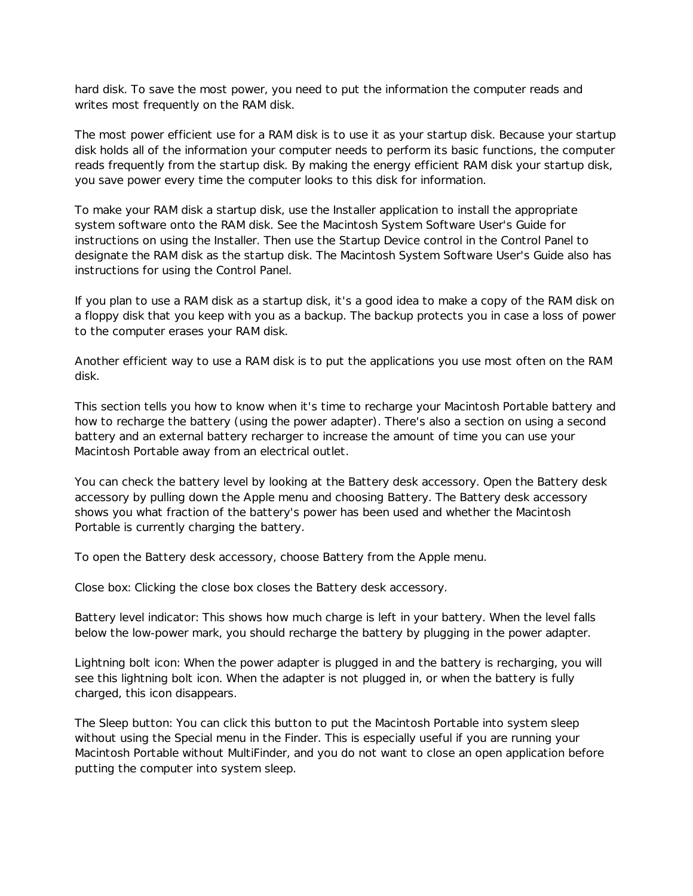hard disk. To save the most power, you need to put the information the computer reads and writes most frequently on the RAM disk.

The most power efficient use for a RAM disk is to use it as your startup disk. Because your startup disk holds all of the information your computer needs to perform its basic functions, the computer reads frequently from the startup disk. By making the energy efficient RAM disk your startup disk, you save power every time the computer looks to this disk for information.

To make your RAM disk a startup disk, use the Installer application to install the appropriate system software onto the RAM disk. See the Macintosh System Software User's Guide for instructions on using the Installer. Then use the Startup Device control in the Control Panel to designate the RAM disk as the startup disk. The Macintosh System Software User's Guide also has instructions for using the Control Panel.

If you plan to use a RAM disk as a startup disk, it's a good idea to make a copy of the RAM disk on a floppy disk that you keep with you as a backup. The backup protects you in case a loss of power to the computer erases your RAM disk.

Another efficient way to use a RAM disk is to put the applications you use most often on the RAM disk.

This section tells you how to know when it's time to recharge your Macintosh Portable battery and how to recharge the battery (using the power adapter). There's also a section on using a second battery and an external battery recharger to increase the amount of time you can use your Macintosh Portable away from an electrical outlet.

You can check the battery level by looking at the Battery desk accessory. Open the Battery desk accessory by pulling down the Apple menu and choosing Battery. The Battery desk accessory shows you what fraction of the battery's power has been used and whether the Macintosh Portable is currently charging the battery.

To open the Battery desk accessory, choose Battery from the Apple menu.

Close box: Clicking the close box closes the Battery desk accessory.

Battery level indicator: This shows how much charge is left in your battery. When the level falls below the low-power mark, you should recharge the battery by plugging in the power adapter.

Lightning bolt icon: When the power adapter is plugged in and the battery is recharging, you will see this lightning bolt icon. When the adapter is not plugged in, or when the battery is fully charged, this icon disappears.

The Sleep button: You can click this button to put the Macintosh Portable into system sleep without using the Special menu in the Finder. This is especially useful if you are running your Macintosh Portable without MultiFinder, and you do not want to close an open application before putting the computer into system sleep.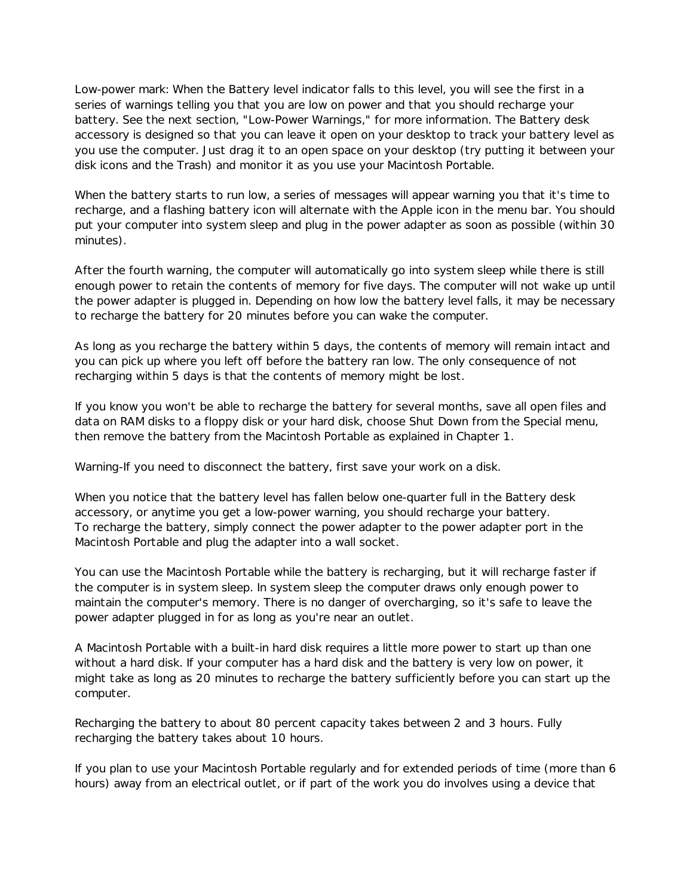Low-power mark: When the Battery level indicator falls to this level, you will see the first in a series of warnings telling you that you are low on power and that you should recharge your battery. See the next section, "Low-Power Warnings," for more information. The Battery desk accessory is designed so that you can leave it open on your desktop to track your battery level as you use the computer. Just drag it to an open space on your desktop (try putting it between your disk icons and the Trash) and monitor it as you use your Macintosh Portable.

When the battery starts to run low, a series of messages will appear warning you that it's time to recharge, and a flashing battery icon will alternate with the Apple icon in the menu bar. You should put your computer into system sleep and plug in the power adapter as soon as possible (within 30 minutes).

After the fourth warning, the computer will automatically go into system sleep while there is still enough power to retain the contents of memory for five days. The computer will not wake up until the power adapter is plugged in. Depending on how low the battery level falls, it may be necessary to recharge the battery for 20 minutes before you can wake the computer.

As long as you recharge the battery within 5 days, the contents of memory will remain intact and you can pick up where you left off before the battery ran low. The only consequence of not recharging within 5 days is that the contents of memory might be lost.

If you know you won't be able to recharge the battery for several months, save all open files and data on RAM disks to a floppy disk or your hard disk, choose Shut Down from the Special menu, then remove the battery from the Macintosh Portable as explained in Chapter 1.

Warning-If you need to disconnect the battery, first save your work on a disk.

When you notice that the battery level has fallen below one-quarter full in the Battery desk accessory, or anytime you get a low-power warning, you should recharge your battery. To recharge the battery, simply connect the power adapter to the power adapter port in the Macintosh Portable and plug the adapter into a wall socket.

You can use the Macintosh Portable while the battery is recharging, but it will recharge faster if the computer is in system sleep. In system sleep the computer draws only enough power to maintain the computer's memory. There is no danger of overcharging, so it's safe to leave the power adapter plugged in for as long as you're near an outlet.

A Macintosh Portable with a built-in hard disk requires a little more power to start up than one without a hard disk. If your computer has a hard disk and the battery is very low on power, it might take as long as 20 minutes to recharge the battery sufficiently before you can start up the computer.

Recharging the battery to about 80 percent capacity takes between 2 and 3 hours. Fully recharging the battery takes about 10 hours.

If you plan to use your Macintosh Portable regularly and for extended periods of time (more than 6 hours) away from an electrical outlet, or if part of the work you do involves using a device that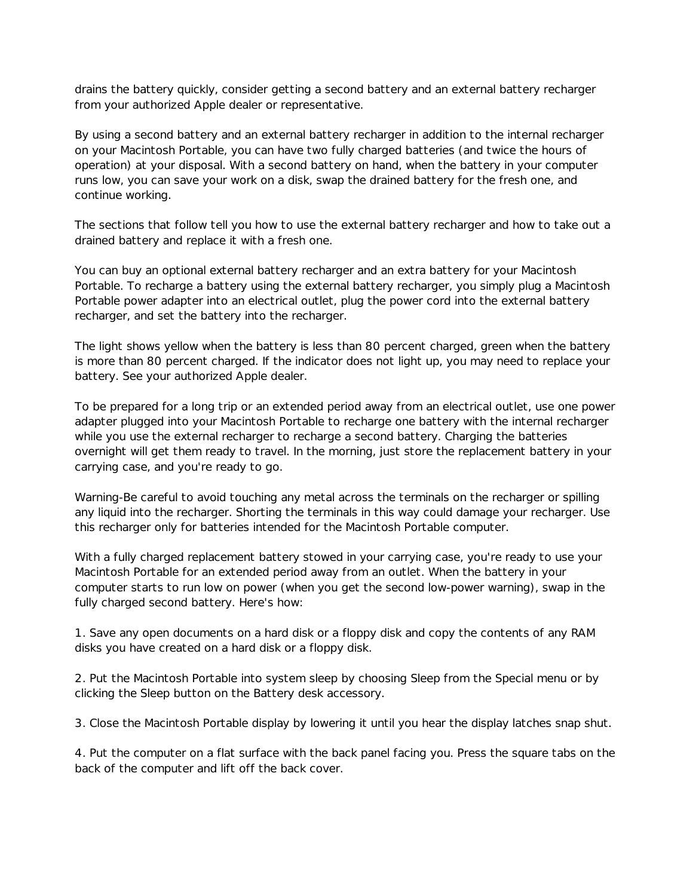drains the battery quickly, consider getting a second battery and an external battery recharger from your authorized Apple dealer or representative.

By using a second battery and an external battery recharger in addition to the internal recharger on your Macintosh Portable, you can have two fully charged batteries (and twice the hours of operation) at your disposal. With a second battery on hand, when the battery in your computer runs low, you can save your work on a disk, swap the drained battery for the fresh one, and continue working.

The sections that follow tell you how to use the external battery recharger and how to take out a drained battery and replace it with a fresh one.

You can buy an optional external battery recharger and an extra battery for your Macintosh Portable. To recharge a battery using the external battery recharger, you simply plug a Macintosh Portable power adapter into an electrical outlet, plug the power cord into the external battery recharger, and set the battery into the recharger.

The light shows yellow when the battery is less than 80 percent charged, green when the battery is more than 80 percent charged. If the indicator does not light up, you may need to replace your battery. See your authorized Apple dealer.

To be prepared for a long trip or an extended period away from an electrical outlet, use one power adapter plugged into your Macintosh Portable to recharge one battery with the internal recharger while you use the external recharger to recharge a second battery. Charging the batteries overnight will get them ready to travel. In the morning, just store the replacement battery in your carrying case, and you're ready to go.

Warning-Be careful to avoid touching any metal across the terminals on the recharger or spilling any liquid into the recharger. Shorting the terminals in this way could damage your recharger. Use this recharger only for batteries intended for the Macintosh Portable computer.

With a fully charged replacement battery stowed in your carrying case, you're ready to use your Macintosh Portable for an extended period away from an outlet. When the battery in your computer starts to run low on power (when you get the second low-power warning), swap in the fully charged second battery. Here's how:

1. Save any open documents on a hard disk or a floppy disk and copy the contents of any RAM disks you have created on a hard disk or a floppy disk.

2. Put the Macintosh Portable into system sleep by choosing Sleep from the Special menu or by clicking the Sleep button on the Battery desk accessory.

3. Close the Macintosh Portable display by lowering it until you hear the display latches snap shut.

4. Put the computer on a flat surface with the back panel facing you. Press the square tabs on the back of the computer and lift off the back cover.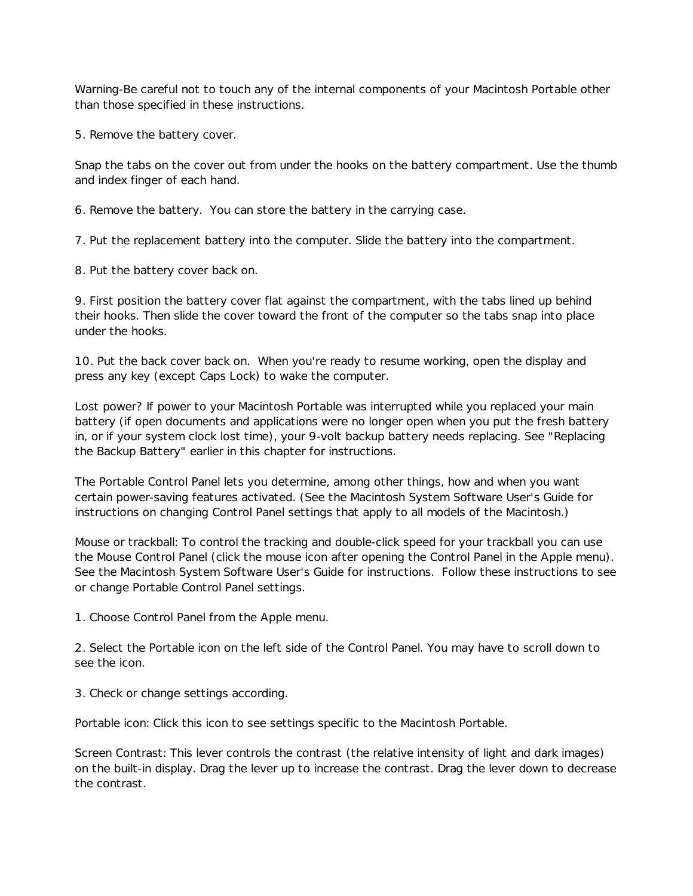Warning-Be careful not to touch any of the internal components of your Macintosh Portable other than those specified in these instructions.

5. Remove the battery cover.

Snap the tabs on the cover out from under the hooks on the battery compartment. Use the thumb and index finger of each hand.

6. Remove the battery. You can store the battery in the carrying case.

7. Put the replacement battery into the computer. Slide the battery into the compartment.

8. Put the battery cover back on.

9. First position the battery cover flat against the compartment, with the tabs lined up behind their hooks. Then slide the cover toward the front of the computer so the tabs snap into place under the hooks.

10. Put the back cover back on. When you're ready to resume working, open the display and press any key (except Caps Lock) to wake the computer.

Lost power? If power to your Macintosh Portable was interrupted while you replaced your main battery (if open documents and applications were no longer open when you put the fresh battery in, or if your system clock lost time), your 9-volt backup battery needs replacing. See "Replacing the Backup Battery" earlier in this chapter for instructions.

The Portable Control Panel lets you determine, among other things, how and when you want certain power-saving features activated. (See the Macintosh System Software User's Guide for instructions on changing Control Panel settings that apply to all models of the Macintosh.)

Mouse or trackball: To control the tracking and double-click speed for your trackball you can use the Mouse Control Panel (click the mouse icon after opening the Control Panel in the Apple menu). See the Macintosh System Software User's Guide for instructions. Follow these instructions to see or change Portable Control Panel settings.

1. Choose Control Panel from the Apple menu.

2. Select the Portable icon on the left side of the Control Panel. You may have to scroll down to see the icon.

3. Check or change settings according.

Portable icon: Click this icon to see settings specific to the Macintosh Portable.

Screen Contrast: This lever controls the contrast (the relative intensity of light and dark images) on the built-in display. Drag the lever up to increase the contrast. Drag the lever down to decrease the contrast.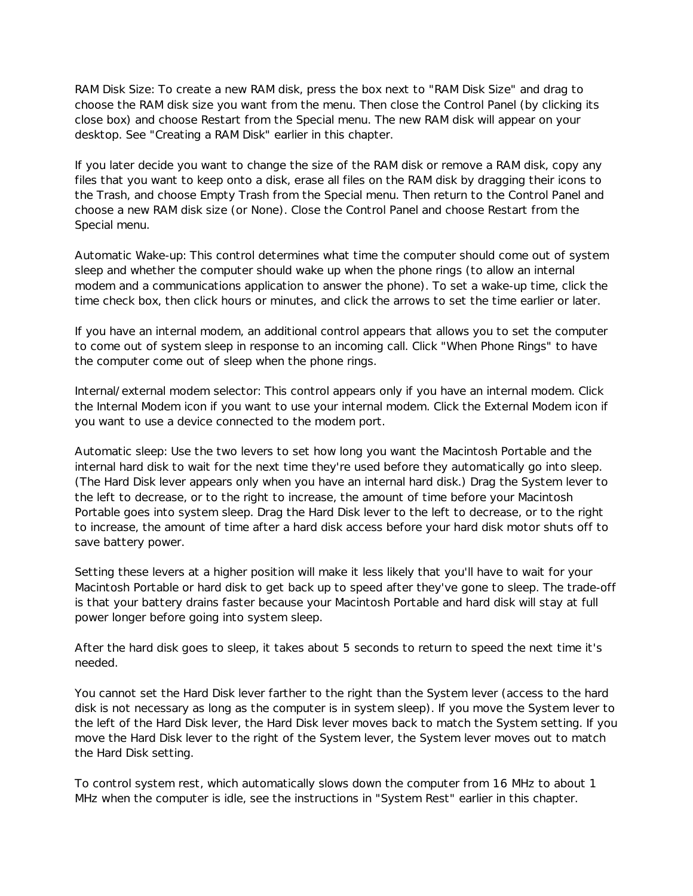RAM Disk Size: To create a new RAM disk, press the box next to "RAM Disk Size" and drag to choose the RAM disk size you want from the menu. Then close the Control Panel (by clicking its close box) and choose Restart from the Special menu. The new RAM disk will appear on your desktop. See "Creating a RAM Disk" earlier in this chapter.

If you later decide you want to change the size of the RAM disk or remove a RAM disk, copy any files that you want to keep onto a disk, erase all files on the RAM disk by dragging their icons to the Trash, and choose Empty Trash from the Special menu. Then return to the Control Panel and choose a new RAM disk size (or None). Close the Control Panel and choose Restart from the Special menu.

Automatic Wake-up: This control determines what time the computer should come out of system sleep and whether the computer should wake up when the phone rings (to allow an internal modem and a communications application to answer the phone). To set a wake-up time, click the time check box, then click hours or minutes, and click the arrows to set the time earlier or later.

If you have an internal modem, an additional control appears that allows you to set the computer to come out of system sleep in response to an incoming call. Click "When Phone Rings" to have the computer come out of sleep when the phone rings.

Internal/external modem selector: This control appears only if you have an internal modem. Click the Internal Modem icon if you want to use your internal modem. Click the External Modem icon if you want to use a device connected to the modem port.

Automatic sleep: Use the two levers to set how long you want the Macintosh Portable and the internal hard disk to wait for the next time they're used before they automatically go into sleep. (The Hard Disk lever appears only when you have an internal hard disk.) Drag the System lever to the left to decrease, or to the right to increase, the amount of time before your Macintosh Portable goes into system sleep. Drag the Hard Disk lever to the left to decrease, or to the right to increase, the amount of time after a hard disk access before your hard disk motor shuts off to save battery power.

Setting these levers at a higher position will make it less likely that you'll have to wait for your Macintosh Portable or hard disk to get back up to speed after they've gone to sleep. The trade-off is that your battery drains faster because your Macintosh Portable and hard disk will stay at full power longer before going into system sleep.

After the hard disk goes to sleep, it takes about 5 seconds to return to speed the next time it's needed.

You cannot set the Hard Disk lever farther to the right than the System lever (access to the hard disk is not necessary as long as the computer is in system sleep). If you move the System lever to the left of the Hard Disk lever, the Hard Disk lever moves back to match the System setting. If you move the Hard Disk lever to the right of the System lever, the System lever moves out to match the Hard Disk setting.

To control system rest, which automatically slows down the computer from 16 MHz to about 1 MHz when the computer is idle, see the instructions in "System Rest" earlier in this chapter.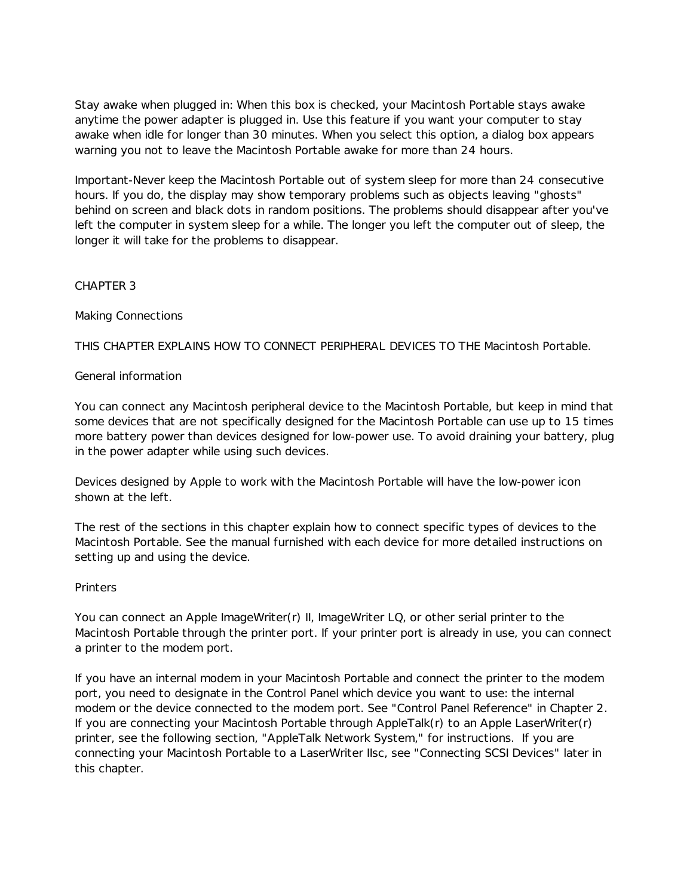Stay awake when plugged in: When this box is checked, your Macintosh Portable stays awake anytime the power adapter is plugged in. Use this feature if you want your computer to stay awake when idle for longer than 30 minutes. When you select this option, a dialog box appears warning you not to leave the Macintosh Portable awake for more than 24 hours.

Important-Never keep the Macintosh Portable out of system sleep for more than 24 consecutive hours. If you do, the display may show temporary problems such as objects leaving "ghosts" behind on screen and black dots in random positions. The problems should disappear after you've left the computer in system sleep for a while. The longer you left the computer out of sleep, the longer it will take for the problems to disappear.

# CHAPTER 3

# Making Connections

THIS CHAPTER EXPLAINS HOW TO CONNECT PERIPHERAL DEVICES TO THE Macintosh Portable.

# General information

You can connect any Macintosh peripheral device to the Macintosh Portable, but keep in mind that some devices that are not specifically designed for the Macintosh Portable can use up to 15 times more battery power than devices designed for low-power use. To avoid draining your battery, plug in the power adapter while using such devices.

Devices designed by Apple to work with the Macintosh Portable will have the low-power icon shown at the left.

The rest of the sections in this chapter explain how to connect specific types of devices to the Macintosh Portable. See the manual furnished with each device for more detailed instructions on setting up and using the device.

# **Printers**

You can connect an Apple ImageWriter(r) II, ImageWriter LQ, or other serial printer to the Macintosh Portable through the printer port. If your printer port is already in use, you can connect a printer to the modem port.

If you have an internal modem in your Macintosh Portable and connect the printer to the modem port, you need to designate in the Control Panel which device you want to use: the internal modem or the device connected to the modem port. See "Control Panel Reference" in Chapter 2. If you are connecting your Macintosh Portable through AppleTalk(r) to an Apple LaserWriter(r) printer, see the following section, "AppleTalk Network System," for instructions. If you are connecting your Macintosh Portable to a LaserWriter IIsc, see "Connecting SCSI Devices" later in this chapter.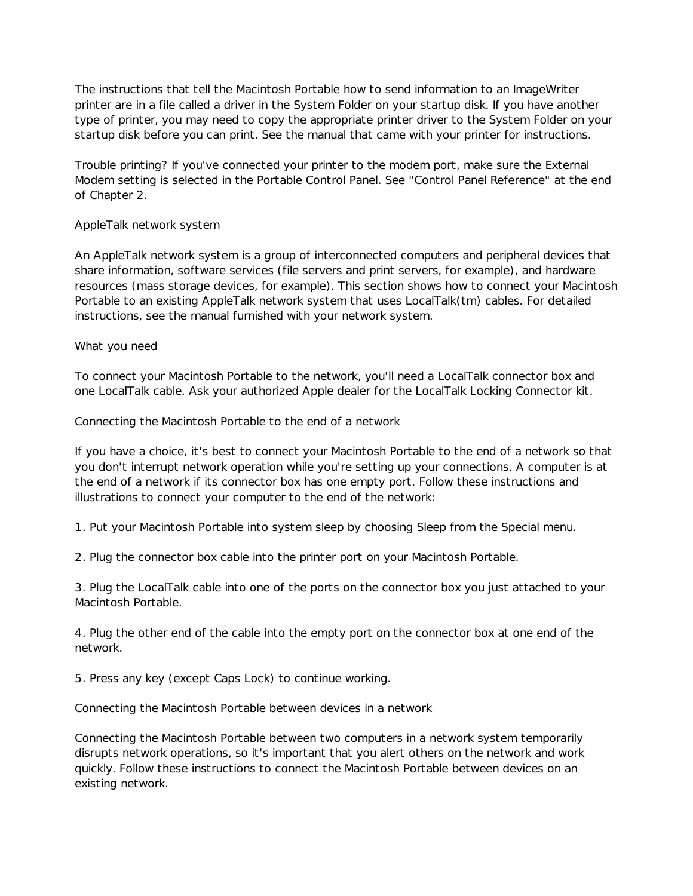The instructions that tell the Macintosh Portable how to send information to an ImageWriter printer are in a file called a driver in the System Folder on your startup disk. If you have another type of printer, you may need to copy the appropriate printer driver to the System Folder on your startup disk before you can print. See the manual that came with your printer for instructions.

Trouble printing? If you've connected your printer to the modem port, make sure the External Modem setting is selected in the Portable Control Panel. See "Control Panel Reference" at the end of Chapter 2.

# AppleTalk network system

An AppleTalk network system is a group of interconnected computers and peripheral devices that share information, software services (file servers and print servers, for example), and hardware resources (mass storage devices, for example). This section shows how to connect your Macintosh Portable to an existing AppleTalk network system that uses LocalTalk(tm) cables. For detailed instructions, see the manual furnished with your network system.

# What you need

To connect your Macintosh Portable to the network, you'll need a LocalTalk connector box and one LocalTalk cable. Ask your authorized Apple dealer for the LocalTalk Locking Connector kit.

Connecting the Macintosh Portable to the end of a network

If you have a choice, it's best to connect your Macintosh Portable to the end of a network so that you don't interrupt network operation while you're setting up your connections. A computer is at the end of a network if its connector box has one empty port. Follow these instructions and illustrations to connect your computer to the end of the network:

1. Put your Macintosh Portable into system sleep by choosing Sleep from the Special menu.

2. Plug the connector box cable into the printer port on your Macintosh Portable.

3. Plug the LocalTalk cable into one of the ports on the connector box you just attached to your Macintosh Portable.

4. Plug the other end of the cable into the empty port on the connector box at one end of the network.

5. Press any key (except Caps Lock) to continue working.

Connecting the Macintosh Portable between devices in a network

Connecting the Macintosh Portable between two computers in a network system temporarily disrupts network operations, so it's important that you alert others on the network and work quickly. Follow these instructions to connect the Macintosh Portable between devices on an existing network.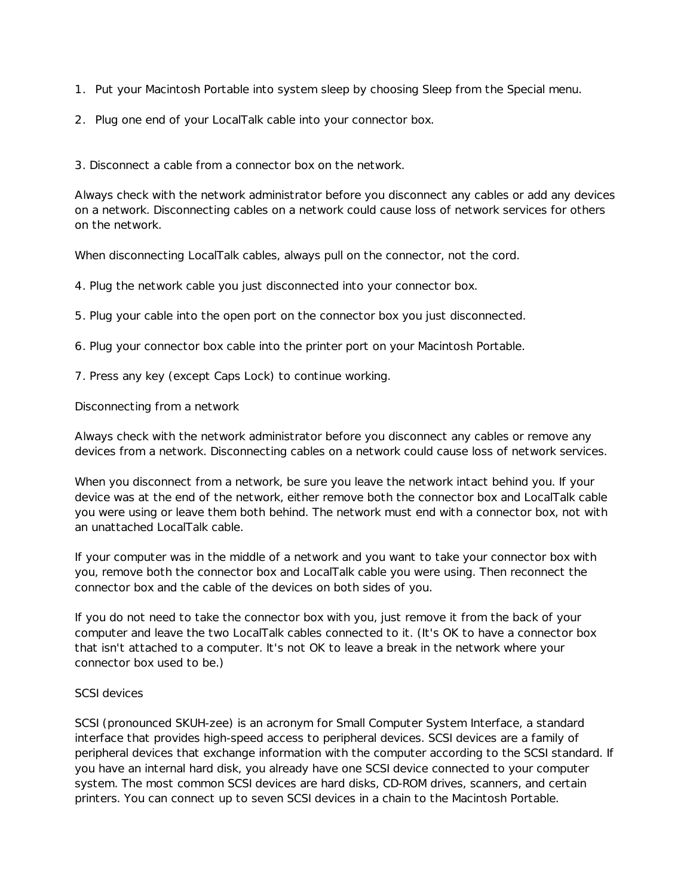- 1. Put your Macintosh Portable into system sleep by choosing Sleep from the Special menu.
- 2. Plug one end of your LocalTalk cable into your connector box.

3. Disconnect a cable from a connector box on the network.

Always check with the network administrator before you disconnect any cables or add any devices on a network. Disconnecting cables on a network could cause loss of network services for others on the network.

When disconnecting LocalTalk cables, always pull on the connector, not the cord.

4. Plug the network cable you just disconnected into your connector box.

5. Plug your cable into the open port on the connector box you just disconnected.

6. Plug your connector box cable into the printer port on your Macintosh Portable.

7. Press any key (except Caps Lock) to continue working.

Disconnecting from a network

Always check with the network administrator before you disconnect any cables or remove any devices from a network. Disconnecting cables on a network could cause loss of network services.

When you disconnect from a network, be sure you leave the network intact behind you. If your device was at the end of the network, either remove both the connector box and LocalTalk cable you were using or leave them both behind. The network must end with a connector box, not with an unattached LocalTalk cable.

If your computer was in the middle of a network and you want to take your connector box with you, remove both the connector box and LocalTalk cable you were using. Then reconnect the connector box and the cable of the devices on both sides of you.

If you do not need to take the connector box with you, just remove it from the back of your computer and leave the two LocalTalk cables connected to it. (It's OK to have a connector box that isn't attached to a computer. It's not OK to leave a break in the network where your connector box used to be.)

# SCSI devices

SCSI (pronounced SKUH-zee) is an acronym for Small Computer System Interface, a standard interface that provides high-speed access to peripheral devices. SCSI devices are a family of peripheral devices that exchange information with the computer according to the SCSI standard. If you have an internal hard disk, you already have one SCSI device connected to your computer system. The most common SCSI devices are hard disks, CD-ROM drives, scanners, and certain printers. You can connect up to seven SCSI devices in a chain to the Macintosh Portable.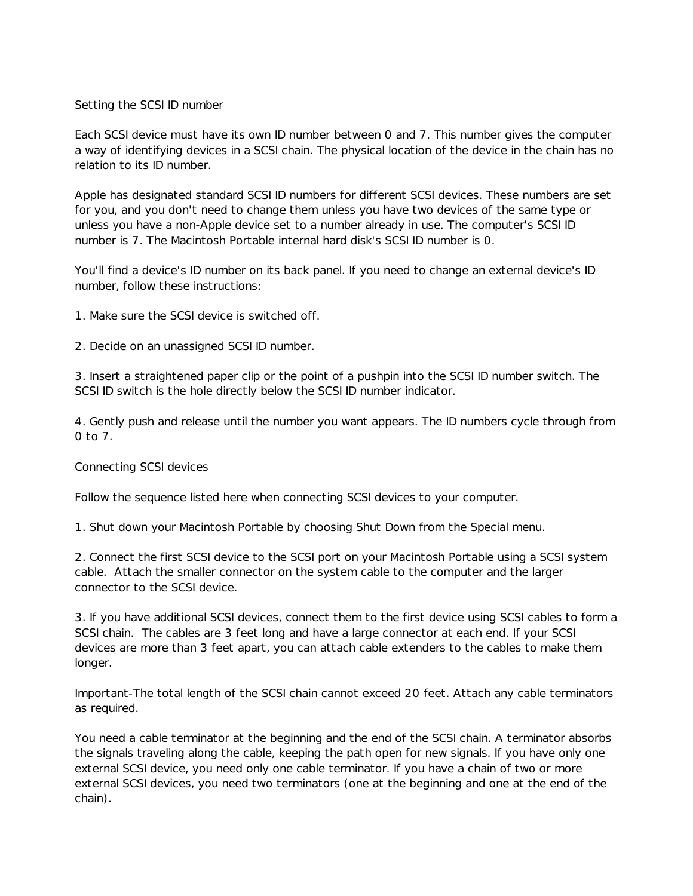## Setting the SCSI ID number

Each SCSI device must have its own ID number between 0 and 7. This number gives the computer a way of identifying devices in a SCSI chain. The physical location of the device in the chain has no relation to its ID number.

Apple has designated standard SCSI ID numbers for different SCSI devices. These numbers are set for you, and you don't need to change them unless you have two devices of the same type or unless you have a non-Apple device set to a number already in use. The computer's SCSI ID number is 7. The Macintosh Portable internal hard disk's SCSI ID number is 0.

You'll find a device's ID number on its back panel. If you need to change an external device's ID number, follow these instructions:

- 1. Make sure the SCSI device is switched off.
- 2. Decide on an unassigned SCSI ID number.

3. Insert a straightened paper clip or the point of a pushpin into the SCSI ID number switch. The SCSI ID switch is the hole directly below the SCSI ID number indicator.

4. Gently push and release until the number you want appears. The ID numbers cycle through from 0 to 7.

#### Connecting SCSI devices

Follow the sequence listed here when connecting SCSI devices to your computer.

1. Shut down your Macintosh Portable by choosing Shut Down from the Special menu.

2. Connect the first SCSI device to the SCSI port on your Macintosh Portable using a SCSI system cable. Attach the smaller connector on the system cable to the computer and the larger connector to the SCSI device.

3. If you have additional SCSI devices, connect them to the first device using SCSI cables to form a SCSI chain. The cables are 3 feet long and have a large connector at each end. If your SCSI devices are more than 3 feet apart, you can attach cable extenders to the cables to make them longer.

Important-The total length of the SCSI chain cannot exceed 20 feet. Attach any cable terminators as required.

You need a cable terminator at the beginning and the end of the SCSI chain. A terminator absorbs the signals traveling along the cable, keeping the path open for new signals. If you have only one external SCSI device, you need only one cable terminator. If you have a chain of two or more external SCSI devices, you need two terminators (one at the beginning and one at the end of the chain).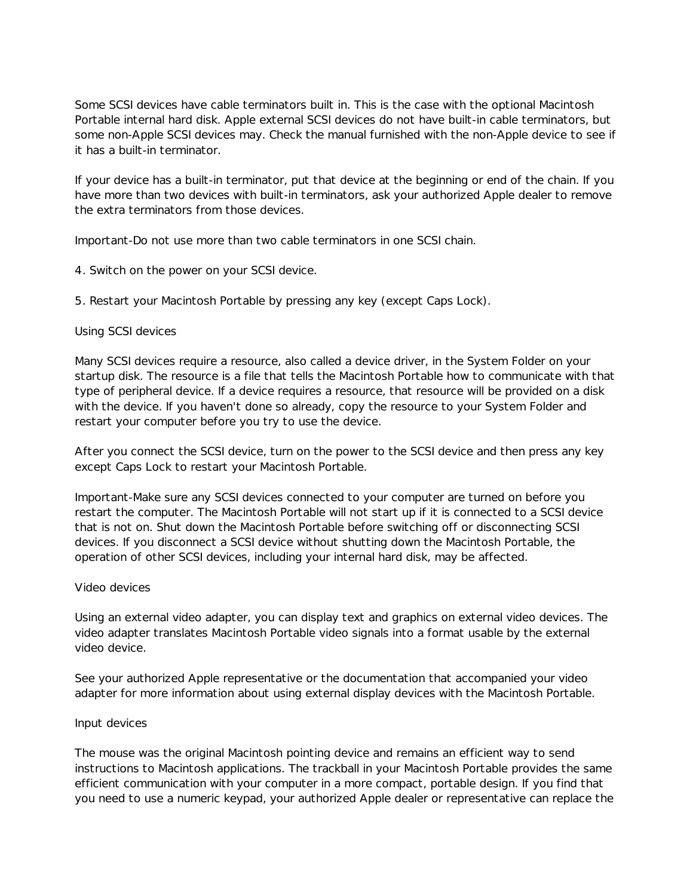Some SCSI devices have cable terminators built in. This is the case with the optional Macintosh Portable internal hard disk. Apple external SCSI devices do not have built-in cable terminators, but some non-Apple SCSI devices may. Check the manual furnished with the non-Apple device to see if it has a built-in terminator.

If your device has a built-in terminator, put that device at the beginning or end of the chain. If you have more than two devices with built-in terminators, ask your authorized Apple dealer to remove the extra terminators from those devices.

Important-Do not use more than two cable terminators in one SCSI chain.

4. Switch on the power on your SCSI device.

5. Restart your Macintosh Portable by pressing any key (except Caps Lock).

#### Using SCSI devices

Many SCSI devices require a resource, also called a device driver, in the System Folder on your startup disk. The resource is a file that tells the Macintosh Portable how to communicate with that type of peripheral device. If a device requires a resource, that resource will be provided on a disk with the device. If you haven't done so already, copy the resource to your System Folder and restart your computer before you try to use the device.

After you connect the SCSI device, turn on the power to the SCSI device and then press any key except Caps Lock to restart your Macintosh Portable.

Important-Make sure any SCSI devices connected to your computer are turned on before you restart the computer. The Macintosh Portable will not start up if it is connected to a SCSI device that is not on. Shut down the Macintosh Portable before switching off or disconnecting SCSI devices. If you disconnect a SCSI device without shutting down the Macintosh Portable, the operation of other SCSI devices, including your internal hard disk, may be affected.

#### Video devices

Using an external video adapter, you can display text and graphics on external video devices. The video adapter translates Macintosh Portable video signals into a format usable by the external video device.

See your authorized Apple representative or the documentation that accompanied your video adapter for more information about using external display devices with the Macintosh Portable.

#### Input devices

The mouse was the original Macintosh pointing device and remains an efficient way to send instructions to Macintosh applications. The trackball in your Macintosh Portable provides the same efficient communication with your computer in a more compact, portable design. If you find that you need to use a numeric keypad, your authorized Apple dealer or representative can replace the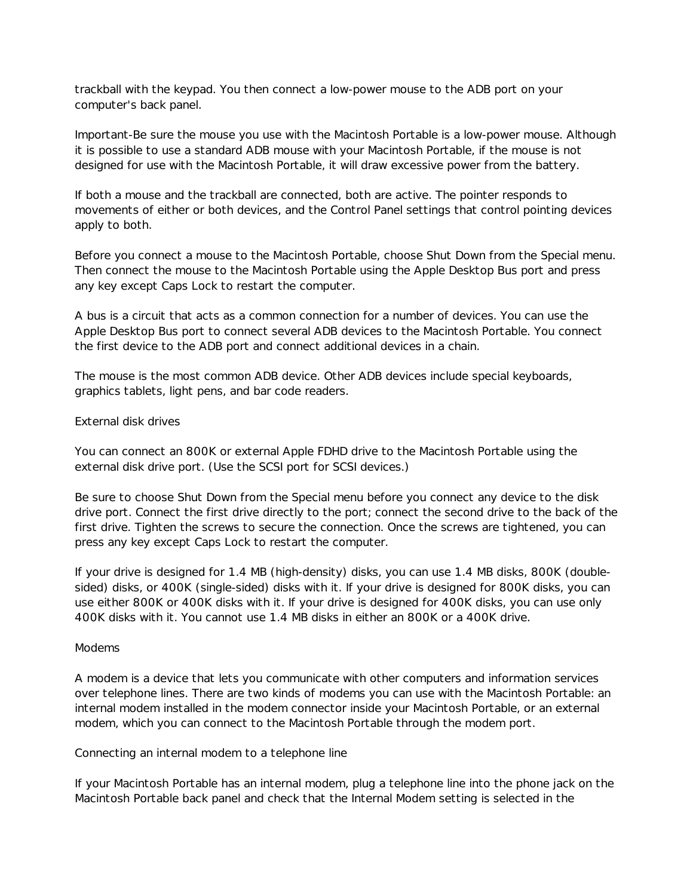trackball with the keypad. You then connect a low-power mouse to the ADB port on your computer's back panel.

Important-Be sure the mouse you use with the Macintosh Portable is a low-power mouse. Although it is possible to use a standard ADB mouse with your Macintosh Portable, if the mouse is not designed for use with the Macintosh Portable, it will draw excessive power from the battery.

If both a mouse and the trackball are connected, both are active. The pointer responds to movements of either or both devices, and the Control Panel settings that control pointing devices apply to both.

Before you connect a mouse to the Macintosh Portable, choose Shut Down from the Special menu. Then connect the mouse to the Macintosh Portable using the Apple Desktop Bus port and press any key except Caps Lock to restart the computer.

A bus is a circuit that acts as a common connection for a number of devices. You can use the Apple Desktop Bus port to connect several ADB devices to the Macintosh Portable. You connect the first device to the ADB port and connect additional devices in a chain.

The mouse is the most common ADB device. Other ADB devices include special keyboards, graphics tablets, light pens, and bar code readers.

#### External disk drives

You can connect an 800K or external Apple FDHD drive to the Macintosh Portable using the external disk drive port. (Use the SCSI port for SCSI devices.)

Be sure to choose Shut Down from the Special menu before you connect any device to the disk drive port. Connect the first drive directly to the port; connect the second drive to the back of the first drive. Tighten the screws to secure the connection. Once the screws are tightened, you can press any key except Caps Lock to restart the computer.

If your drive is designed for 1.4 MB (high-density) disks, you can use 1.4 MB disks, 800K (doublesided) disks, or 400K (single-sided) disks with it. If your drive is designed for 800K disks, you can use either 800K or 400K disks with it. If your drive is designed for 400K disks, you can use only 400K disks with it. You cannot use 1.4 MB disks in either an 800K or a 400K drive.

#### Modems

A modem is a device that lets you communicate with other computers and information services over telephone lines. There are two kinds of modems you can use with the Macintosh Portable: an internal modem installed in the modem connector inside your Macintosh Portable, or an external modem, which you can connect to the Macintosh Portable through the modem port.

Connecting an internal modem to a telephone line

If your Macintosh Portable has an internal modem, plug a telephone line into the phone jack on the Macintosh Portable back panel and check that the Internal Modem setting is selected in the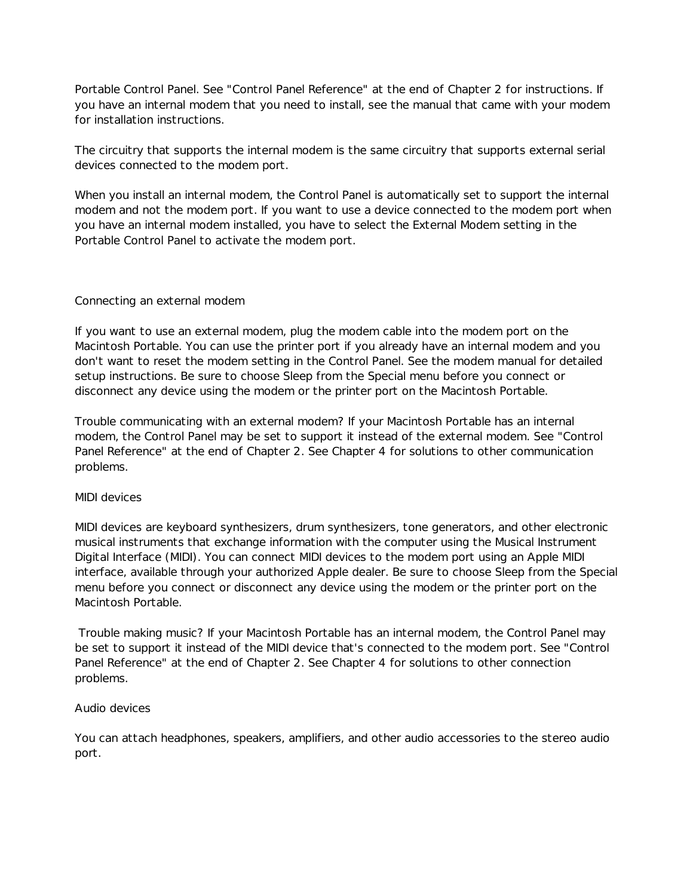Portable Control Panel. See "Control Panel Reference" at the end of Chapter 2 for instructions. If you have an internal modem that you need to install, see the manual that came with your modem for installation instructions.

The circuitry that supports the internal modem is the same circuitry that supports external serial devices connected to the modem port.

When you install an internal modem, the Control Panel is automatically set to support the internal modem and not the modem port. If you want to use a device connected to the modem port when you have an internal modem installed, you have to select the External Modem setting in the Portable Control Panel to activate the modem port.

# Connecting an external modem

If you want to use an external modem, plug the modem cable into the modem port on the Macintosh Portable. You can use the printer port if you already have an internal modem and you don't want to reset the modem setting in the Control Panel. See the modem manual for detailed setup instructions. Be sure to choose Sleep from the Special menu before you connect or disconnect any device using the modem or the printer port on the Macintosh Portable.

Trouble communicating with an external modem? If your Macintosh Portable has an internal modem, the Control Panel may be set to support it instead of the external modem. See "Control Panel Reference" at the end of Chapter 2. See Chapter 4 for solutions to other communication problems.

# MIDI devices

MIDI devices are keyboard synthesizers, drum synthesizers, tone generators, and other electronic musical instruments that exchange information with the computer using the Musical Instrument Digital Interface (MIDI). You can connect MIDI devices to the modem port using an Apple MIDI interface, available through your authorized Apple dealer. Be sure to choose Sleep from the Special menu before you connect or disconnect any device using the modem or the printer port on the Macintosh Portable.

 Trouble making music? If your Macintosh Portable has an internal modem, the Control Panel may be set to support it instead of the MIDI device that's connected to the modem port. See "Control Panel Reference" at the end of Chapter 2. See Chapter 4 for solutions to other connection problems.

#### Audio devices

You can attach headphones, speakers, amplifiers, and other audio accessories to the stereo audio port.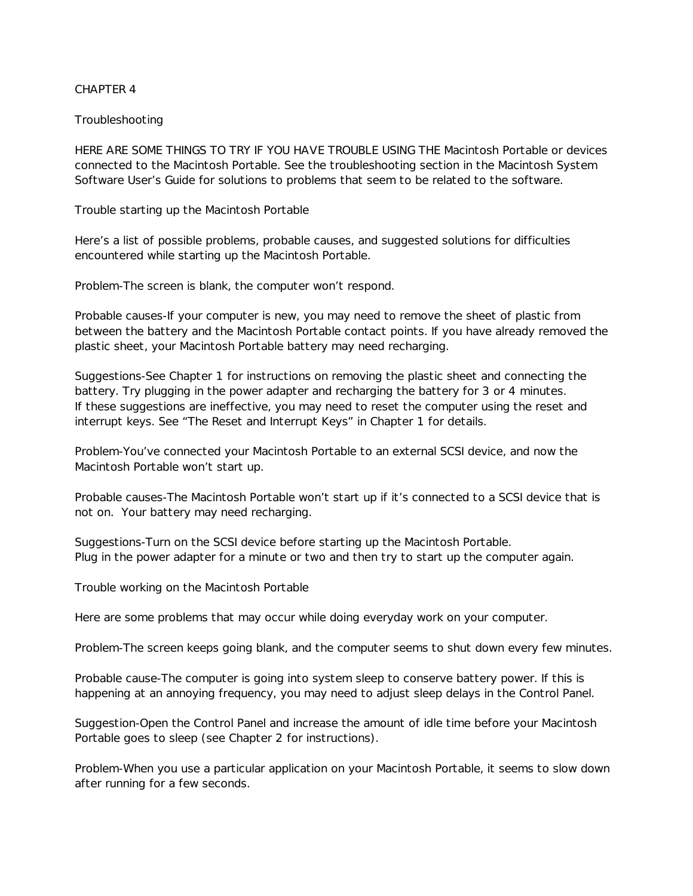## CHAPTER 4

## Troubleshooting

HERE ARE SOME THINGS TO TRY IF YOU HAVE TROUBLE USING THE Macintosh Portable or devices connected to the Macintosh Portable. See the troubleshooting section in the Macintosh System Software User's Guide for solutions to problems that seem to be related to the software.

Trouble starting up the Macintosh Portable

Here's a list of possible problems, probable causes, and suggested solutions for difficulties encountered while starting up the Macintosh Portable.

Problem-The screen is blank, the computer won't respond.

Probable causes-If your computer is new, you may need to remove the sheet of plastic from between the battery and the Macintosh Portable contact points. If you have already removed the plastic sheet, your Macintosh Portable battery may need recharging.

Suggestions-See Chapter 1 for instructions on removing the plastic sheet and connecting the battery. Try plugging in the power adapter and recharging the battery for 3 or 4 minutes. If these suggestions are ineffective, you may need to reset the computer using the reset and interrupt keys. See "The Reset and Interrupt Keys" in Chapter 1 for details.

Problem-You've connected your Macintosh Portable to an external SCSI device, and now the Macintosh Portable won't start up.

Probable causes-The Macintosh Portable won't start up if it's connected to a SCSI device that is not on. Your battery may need recharging.

Suggestions-Turn on the SCSI device before starting up the Macintosh Portable. Plug in the power adapter for a minute or two and then try to start up the computer again.

Trouble working on the Macintosh Portable

Here are some problems that may occur while doing everyday work on your computer.

Problem-The screen keeps going blank, and the computer seems to shut down every few minutes.

Probable cause-The computer is going into system sleep to conserve battery power. If this is happening at an annoying frequency, you may need to adjust sleep delays in the Control Panel.

Suggestion-Open the Control Panel and increase the amount of idle time before your Macintosh Portable goes to sleep (see Chapter 2 for instructions).

Problem-When you use a particular application on your Macintosh Portable, it seems to slow down after running for a few seconds.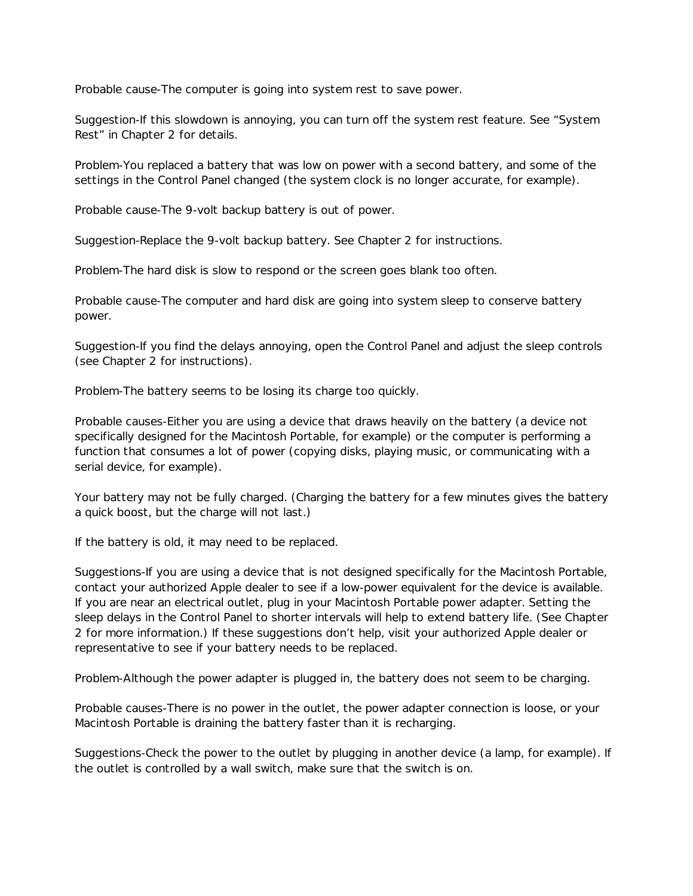Probable cause-The computer is going into system rest to save power.

Suggestion-If this slowdown is annoying, you can turn off the system rest feature. See "System Rest" in Chapter 2 for details.

Problem-You replaced a battery that was low on power with a second battery, and some of the settings in the Control Panel changed (the system clock is no longer accurate, for example).

Probable cause-The 9-volt backup battery is out of power.

Suggestion-Replace the 9-volt backup battery. See Chapter 2 for instructions.

Problem-The hard disk is slow to respond or the screen goes blank too often.

Probable cause-The computer and hard disk are going into system sleep to conserve battery power.

Suggestion-If you find the delays annoying, open the Control Panel and adjust the sleep controls (see Chapter 2 for instructions).

Problem-The battery seems to be losing its charge too quickly.

Probable causes-Either you are using a device that draws heavily on the battery (a device not specifically designed for the Macintosh Portable, for example) or the computer is performing a function that consumes a lot of power (copying disks, playing music, or communicating with a serial device, for example).

Your battery may not be fully charged. (Charging the battery for a few minutes gives the battery a quick boost, but the charge will not last.)

If the battery is old, it may need to be replaced.

Suggestions-If you are using a device that is not designed specifically for the Macintosh Portable, contact your authorized Apple dealer to see if a low-power equivalent for the device is available. If you are near an electrical outlet, plug in your Macintosh Portable power adapter. Setting the sleep delays in the Control Panel to shorter intervals will help to extend battery life. (See Chapter 2 for more information.) If these suggestions don't help, visit your authorized Apple dealer or representative to see if your battery needs to be replaced.

Problem-Although the power adapter is plugged in, the battery does not seem to be charging.

Probable causes-There is no power in the outlet, the power adapter connection is loose, or your Macintosh Portable is draining the battery faster than it is recharging.

Suggestions-Check the power to the outlet by plugging in another device (a lamp, for example). If the outlet is controlled by a wall switch, make sure that the switch is on.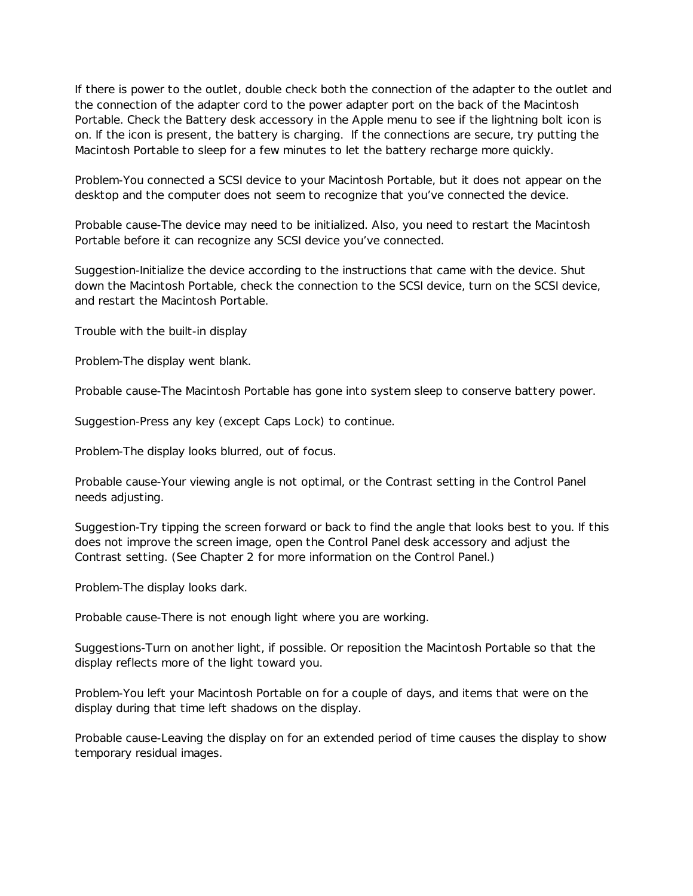If there is power to the outlet, double check both the connection of the adapter to the outlet and the connection of the adapter cord to the power adapter port on the back of the Macintosh Portable. Check the Battery desk accessory in the Apple menu to see if the lightning bolt icon is on. If the icon is present, the battery is charging. If the connections are secure, try putting the Macintosh Portable to sleep for a few minutes to let the battery recharge more quickly.

Problem-You connected a SCSI device to your Macintosh Portable, but it does not appear on the desktop and the computer does not seem to recognize that you've connected the device.

Probable cause-The device may need to be initialized. Also, you need to restart the Macintosh Portable before it can recognize any SCSI device you've connected.

Suggestion-Initialize the device according to the instructions that came with the device. Shut down the Macintosh Portable, check the connection to the SCSI device, turn on the SCSI device, and restart the Macintosh Portable.

Trouble with the built-in display

Problem-The display went blank.

Probable cause-The Macintosh Portable has gone into system sleep to conserve battery power.

Suggestion-Press any key (except Caps Lock) to continue.

Problem-The display looks blurred, out of focus.

Probable cause-Your viewing angle is not optimal, or the Contrast setting in the Control Panel needs adjusting.

Suggestion-Try tipping the screen forward or back to find the angle that looks best to you. If this does not improve the screen image, open the Control Panel desk accessory and adjust the Contrast setting. (See Chapter 2 for more information on the Control Panel.)

Problem-The display looks dark.

Probable cause-There is not enough light where you are working.

Suggestions-Turn on another light, if possible. Or reposition the Macintosh Portable so that the display reflects more of the light toward you.

Problem-You left your Macintosh Portable on for a couple of days, and items that were on the display during that time left shadows on the display.

Probable cause-Leaving the display on for an extended period of time causes the display to show temporary residual images.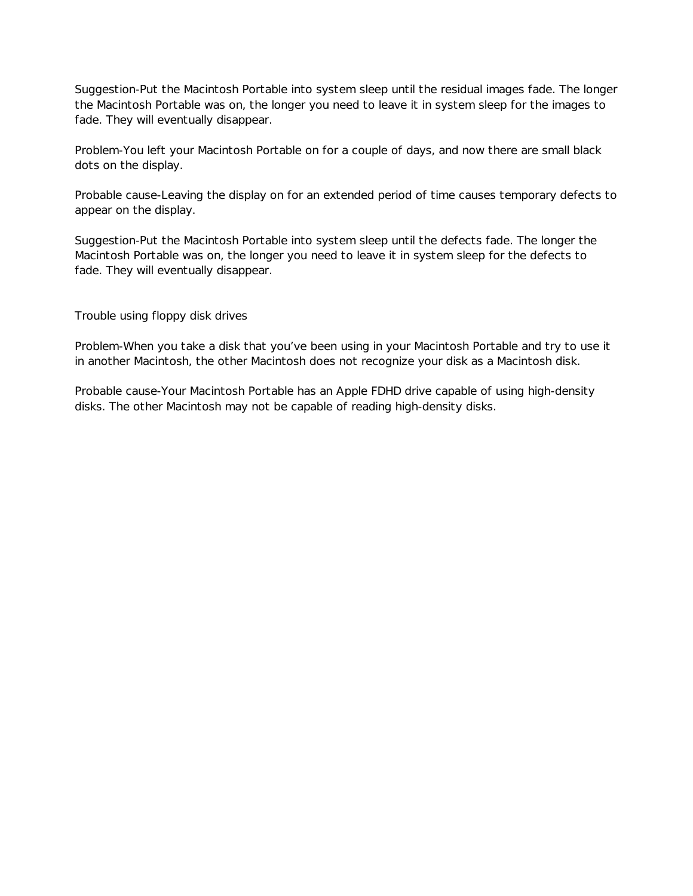Suggestion-Put the Macintosh Portable into system sleep until the residual images fade. The longer the Macintosh Portable was on, the longer you need to leave it in system sleep for the images to fade. They will eventually disappear.

Problem-You left your Macintosh Portable on for a couple of days, and now there are small black dots on the display.

Probable cause-Leaving the display on for an extended period of time causes temporary defects to appear on the display.

Suggestion-Put the Macintosh Portable into system sleep until the defects fade. The longer the Macintosh Portable was on, the longer you need to leave it in system sleep for the defects to fade. They will eventually disappear.

Trouble using floppy disk drives

Problem-When you take a disk that you've been using in your Macintosh Portable and try to use it in another Macintosh, the other Macintosh does not recognize your disk as a Macintosh disk.

Probable cause-Your Macintosh Portable has an Apple FDHD drive capable of using high-density disks. The other Macintosh may not be capable of reading high-density disks.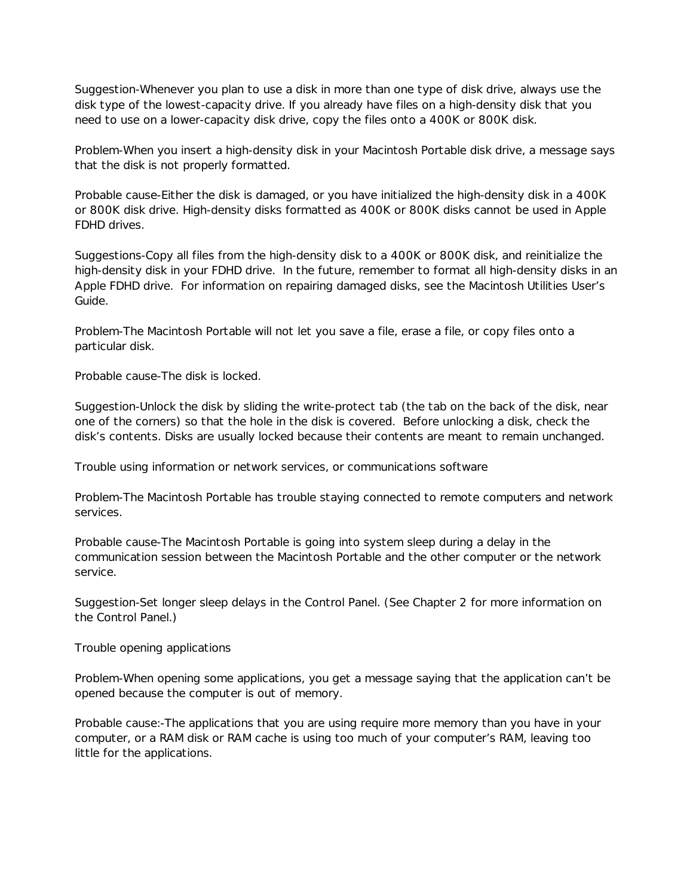Suggestion-Whenever you plan to use a disk in more than one type of disk drive, always use the disk type of the lowest-capacity drive. If you already have files on a high-density disk that you need to use on a lower-capacity disk drive, copy the files onto a 400K or 800K disk.

Problem-When you insert a high-density disk in your Macintosh Portable disk drive, a message says that the disk is not properly formatted.

Probable cause-Either the disk is damaged, or you have initialized the high-density disk in a 400K or 800K disk drive. High-density disks formatted as 400K or 800K disks cannot be used in Apple FDHD drives.

Suggestions-Copy all files from the high-density disk to a 400K or 800K disk, and reinitialize the high-density disk in your FDHD drive. In the future, remember to format all high-density disks in an Apple FDHD drive. For information on repairing damaged disks, see the Macintosh Utilities User's Guide.

Problem-The Macintosh Portable will not let you save a file, erase a file, or copy files onto a particular disk.

Probable cause-The disk is locked.

Suggestion-Unlock the disk by sliding the write-protect tab (the tab on the back of the disk, near one of the corners) so that the hole in the disk is covered. Before unlocking a disk, check the disk's contents. Disks are usually locked because their contents are meant to remain unchanged.

Trouble using information or network services, or communications software

Problem-The Macintosh Portable has trouble staying connected to remote computers and network services.

Probable cause-The Macintosh Portable is going into system sleep during a delay in the communication session between the Macintosh Portable and the other computer or the network service.

Suggestion-Set longer sleep delays in the Control Panel. (See Chapter 2 for more information on the Control Panel.)

Trouble opening applications

Problem-When opening some applications, you get a message saying that the application can't be opened because the computer is out of memory.

Probable cause:-The applications that you are using require more memory than you have in your computer, or a RAM disk or RAM cache is using too much of your computer's RAM, leaving too little for the applications.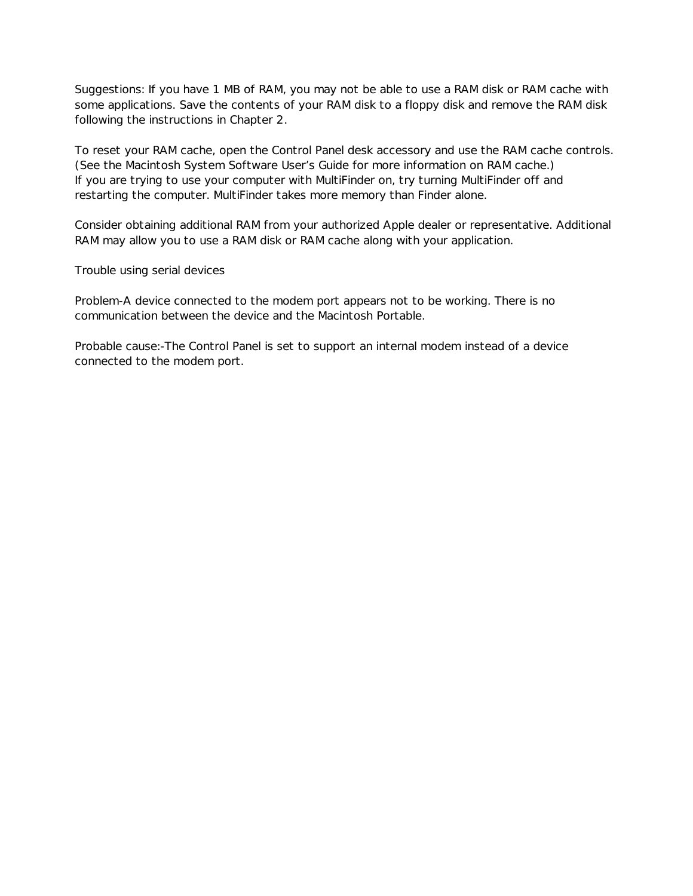Suggestions: If you have 1 MB of RAM, you may not be able to use a RAM disk or RAM cache with some applications. Save the contents of your RAM disk to a floppy disk and remove the RAM disk following the instructions in Chapter 2.

To reset your RAM cache, open the Control Panel desk accessory and use the RAM cache controls. (See the Macintosh System Software User's Guide for more information on RAM cache.) If you are trying to use your computer with MultiFinder on, try turning MultiFinder off and restarting the computer. MultiFinder takes more memory than Finder alone.

Consider obtaining additional RAM from your authorized Apple dealer or representative. Additional RAM may allow you to use a RAM disk or RAM cache along with your application.

Trouble using serial devices

Problem-A device connected to the modem port appears not to be working. There is no communication between the device and the Macintosh Portable.

Probable cause:-The Control Panel is set to support an internal modem instead of a device connected to the modem port.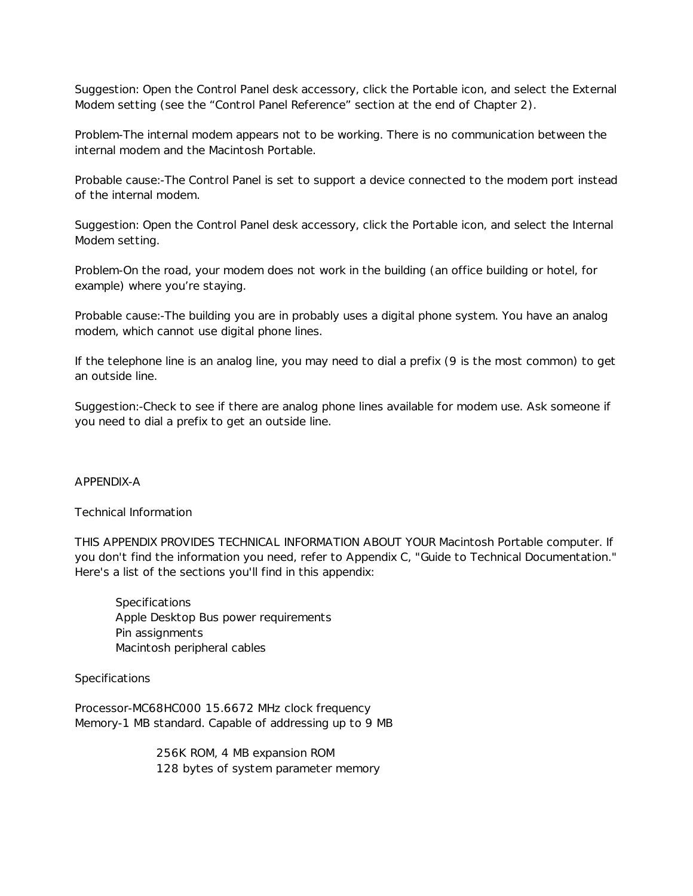Suggestion: Open the Control Panel desk accessory, click the Portable icon, and select the External Modem setting (see the "Control Panel Reference" section at the end of Chapter 2).

Problem-The internal modem appears not to be working. There is no communication between the internal modem and the Macintosh Portable.

Probable cause:-The Control Panel is set to support a device connected to the modem port instead of the internal modem.

Suggestion: Open the Control Panel desk accessory, click the Portable icon, and select the Internal Modem setting.

Problem-On the road, your modem does not work in the building (an office building or hotel, for example) where you're staying.

Probable cause:-The building you are in probably uses a digital phone system. You have an analog modem, which cannot use digital phone lines.

If the telephone line is an analog line, you may need to dial a prefix (9 is the most common) to get an outside line.

Suggestion:-Check to see if there are analog phone lines available for modem use. Ask someone if you need to dial a prefix to get an outside line.

# APPENDIX-A

Technical Information

THIS APPENDIX PROVIDES TECHNICAL INFORMATION ABOUT YOUR Macintosh Portable computer. If you don't find the information you need, refer to Appendix C, "Guide to Technical Documentation." Here's a list of the sections you'll find in this appendix:

**Specifications** Apple Desktop Bus power requirements Pin assignments Macintosh peripheral cables

# Specifications

Processor-MC68HC000 15.6672 MHz clock frequency Memory-1 MB standard. Capable of addressing up to 9 MB

> 256K ROM, 4 MB expansion ROM 128 bytes of system parameter memory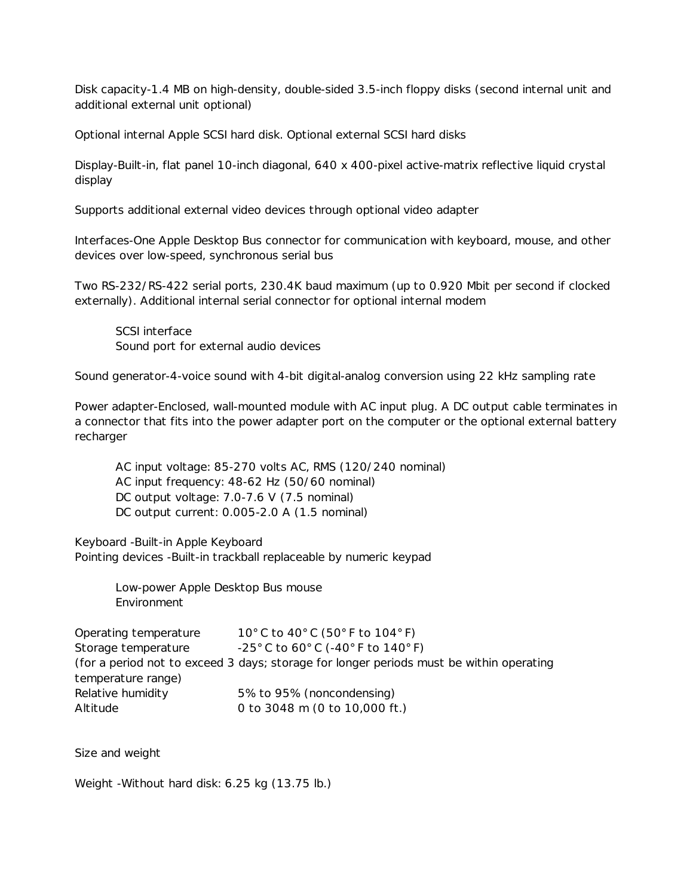Disk capacity-1.4 MB on high-density, double-sided 3.5-inch floppy disks (second internal unit and additional external unit optional)

Optional internal Apple SCSI hard disk. Optional external SCSI hard disks

Display-Built-in, flat panel 10-inch diagonal, 640 x 400-pixel active-matrix reflective liquid crystal display

Supports additional external video devices through optional video adapter

Interfaces-One Apple Desktop Bus connector for communication with keyboard, mouse, and other devices over low-speed, synchronous serial bus

Two RS-232/RS-422 serial ports, 230.4K baud maximum (up to 0.920 Mbit per second if clocked externally). Additional internal serial connector for optional internal modem

SCSI interface Sound port for external audio devices

Sound generator-4-voice sound with 4-bit digital-analog conversion using 22 kHz sampling rate

Power adapter-Enclosed, wall-mounted module with AC input plug. A DC output cable terminates in a connector that fits into the power adapter port on the computer or the optional external battery recharger

AC input voltage: 85-270 volts AC, RMS (120/240 nominal) AC input frequency: 48-62 Hz (50/60 nominal) DC output voltage: 7.0-7.6 V (7.5 nominal) DC output current: 0.005-2.0 A (1.5 nominal)

Keyboard -Built-in Apple Keyboard Pointing devices -Built-in trackball replaceable by numeric keypad

> Low-power Apple Desktop Bus mouse Environment

Operating temperature 10° C to 40° C (50° F to 104° F) Storage temperature -25° C to 60° C (-40° F to 140° F) (for a period not to exceed 3 days; storage for longer periods must be within operating temperature range) Relative humidity 5% to 95% (noncondensing) Altitude 0 to 3048 m (0 to 10,000 ft.)

Size and weight

Weight -Without hard disk: 6.25 kg (13.75 lb.)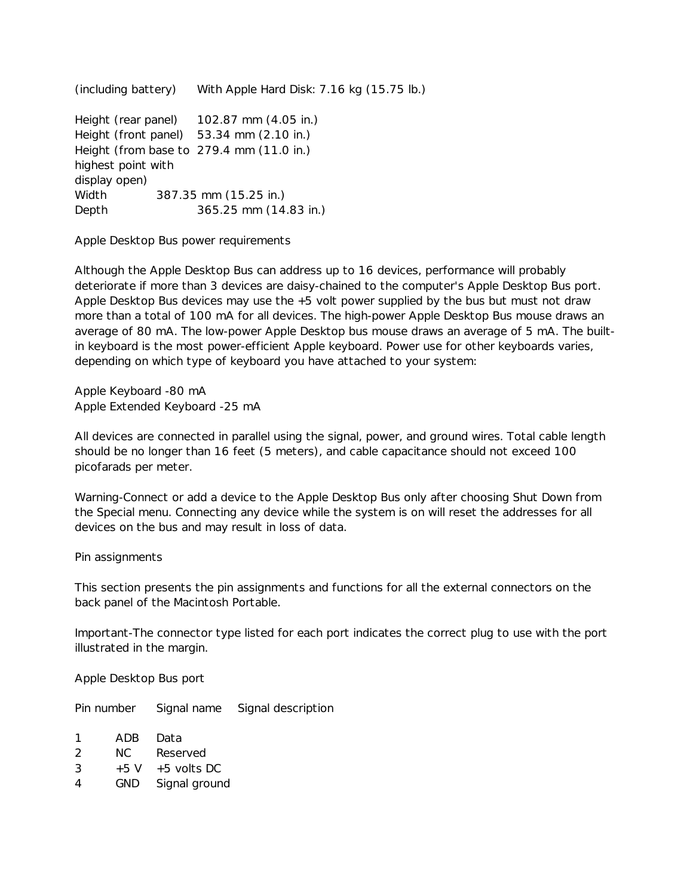(including battery) With Apple Hard Disk: 7.16 kg (15.75 lb.) Height (rear panel) 102.87 mm (4.05 in.) Height (front panel) 53.34 mm (2.10 in.) Height (from base to 279.4 mm (11.0 in.) highest point with display open) Width 387.35 mm (15.25 in.) Depth 365.25 mm (14.83 in.)

Apple Desktop Bus power requirements

Although the Apple Desktop Bus can address up to 16 devices, performance will probably deteriorate if more than 3 devices are daisy-chained to the computer's Apple Desktop Bus port. Apple Desktop Bus devices may use the +5 volt power supplied by the bus but must not draw more than a total of 100 mA for all devices. The high-power Apple Desktop Bus mouse draws an average of 80 mA. The low-power Apple Desktop bus mouse draws an average of 5 mA. The builtin keyboard is the most power-efficient Apple keyboard. Power use for other keyboards varies, depending on which type of keyboard you have attached to your system:

Apple Keyboard -80 mA Apple Extended Keyboard -25 mA

All devices are connected in parallel using the signal, power, and ground wires. Total cable length should be no longer than 16 feet (5 meters), and cable capacitance should not exceed 100 picofarads per meter.

Warning-Connect or add a device to the Apple Desktop Bus only after choosing Shut Down from the Special menu. Connecting any device while the system is on will reset the addresses for all devices on the bus and may result in loss of data.

Pin assignments

This section presents the pin assignments and functions for all the external connectors on the back panel of the Macintosh Portable.

Important-The connector type listed for each port indicates the correct plug to use with the port illustrated in the margin.

Apple Desktop Bus port

Pin number Signal name Signal description

| 1         | ADB   | Data          |
|-----------|-------|---------------|
| 2         | NC.   | Reserved      |
| 3         | $+5V$ | $+5$ volts DC |
| $\Lambda$ | CNID. | Sianal aroun  |

GND Signal ground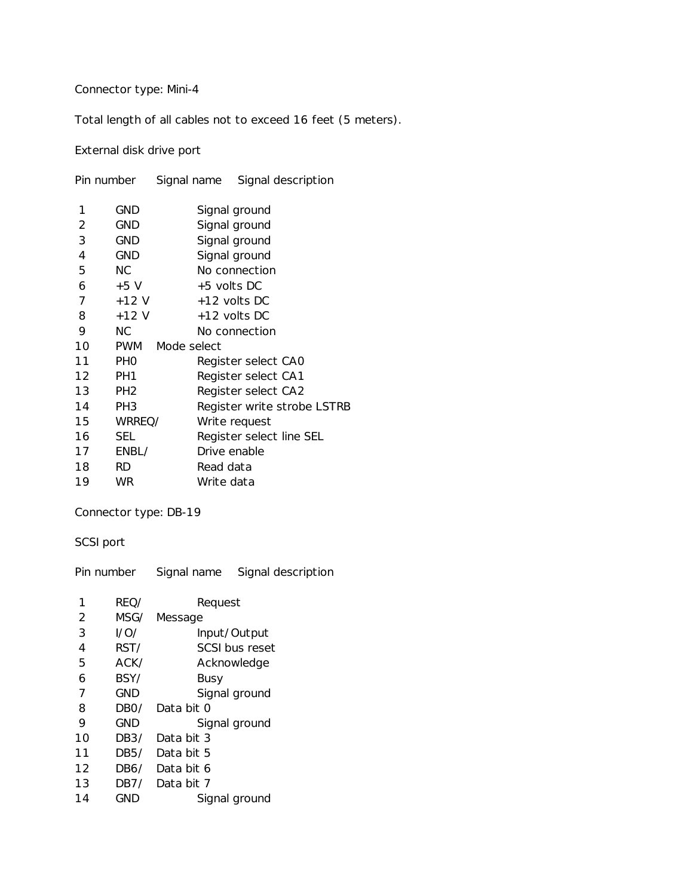Connector type: Mini-4

Total length of all cables not to exceed 16 feet (5 meters).

External disk drive port

|    | Pin number      | Signal name   | Signal description          |  |
|----|-----------------|---------------|-----------------------------|--|
| 1  | GND             | Signal ground |                             |  |
| 2  | GND             |               | Signal ground               |  |
| 3  | <b>GND</b>      |               | Signal ground               |  |
| 4  | <b>GND</b>      |               | Signal ground               |  |
| 5  | NC.             |               | No connection               |  |
| 6  | $+5V$           | $+5$ volts DC |                             |  |
| 7  | $+12V$          |               | +12 volts DC                |  |
| 8  | $+12V$          |               | +12 volts DC                |  |
| 9  | NC.             |               | No connection               |  |
| 10 | PWM             | Mode select   |                             |  |
| 11 | <b>PHO</b>      |               | Register select CAO         |  |
| 12 | PH <sub>1</sub> |               | Register select CA1         |  |
| 13 | PH <sub>2</sub> |               | Register select CA2         |  |
| 14 | PH <sub>3</sub> |               | Register write strobe LSTRB |  |
| 15 | WRREQ/          |               | Write request               |  |
| 16 | <b>SEL</b>      |               | Register select line SEL    |  |
| 17 | ENBL/           |               | Drive enable                |  |
| 18 | <b>RD</b>       | Read data     |                             |  |
| 19 | <b>WR</b>       | Write data    |                             |  |

Connector type: DB-19

SCSI port

|    | Pin number | Signal name     | Signal description |  |
|----|------------|-----------------|--------------------|--|
| 1  | REO/       | Request         |                    |  |
| 2  | MSG/       | Message         |                    |  |
| 3  | 1/O/       |                 | Input/Output       |  |
| 4  | RST/       | SCSI bus reset  |                    |  |
| 5  | ACK/       |                 | Acknowledge        |  |
| 6  | BSY/       | Busy            |                    |  |
| 7  | GND        |                 | Signal ground      |  |
| 8  | DBO/       | Data bit O      |                    |  |
| 9  | GND        |                 | Signal ground      |  |
| 10 | DB3/       | Data bit 3      |                    |  |
| 11 | DB5/       | Data bit 5      |                    |  |
| 12 |            | DB6/ Data bit 6 |                    |  |
| 13 | DB7/       | Data bit 7      |                    |  |
| 14 | GND        |                 | Signal ground      |  |
|    |            |                 |                    |  |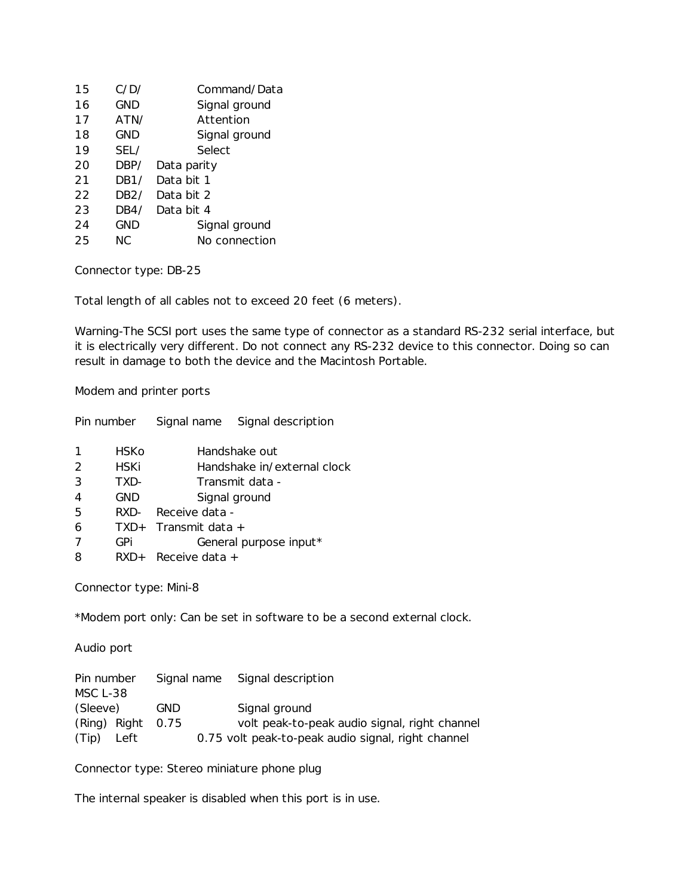| 15 | C/D/ | Command/Data  |
|----|------|---------------|
| 16 | GND  | Signal ground |
| 17 | ATN/ | Attention     |
| 18 | GND  | Signal ground |
| 19 | SEL/ | Select        |
| 20 | DBP/ | Data parity   |
| 21 | DB1/ | Data bit 1    |
| 22 | DB2/ | Data bit 2    |
| 23 | DB4/ | Data bit 4    |
| 24 | GND  | Signal ground |
| 25 | NC.  | No connection |
|    |      |               |

Connector type: DB-25

Total length of all cables not to exceed 20 feet (6 meters).

Warning-The SCSI port uses the same type of connector as a standard RS-232 serial interface, but it is electrically very different. Do not connect any RS-232 device to this connector. Doing so can result in damage to both the device and the Macintosh Portable.

Modem and printer ports

| Pin number    |        | Signal name                 | Signal description |  |
|---------------|--------|-----------------------------|--------------------|--|
|               | HSKo   | Handshake out               |                    |  |
| $\mathcal{P}$ | HSKi   | Handshake in/external clock |                    |  |
| 3             | TXD-   | Transmit data -             |                    |  |
| 4             | GND    | Signal ground               |                    |  |
| 5             | RXD-   | Receive data -              |                    |  |
| 6             | $TXD+$ | Transmit data +             |                    |  |
|               | GPi    | General purpose input*      |                    |  |
| 8             | $RXD+$ | Receive data $+$            |                    |  |

Connector type: Mini-8

\*Modem port only: Can be set in software to be a second external clock.

Audio port

| Pin number      |      |            | Signal name Signal description                     |
|-----------------|------|------------|----------------------------------------------------|
| <b>MSC L-38</b> |      |            |                                                    |
| (Sleeve)        |      | <b>GND</b> | Signal ground                                      |
| (Ring) Right    |      | 0.75       | volt peak-to-peak audio signal, right channel      |
| (Tip)           | Left |            | 0.75 volt peak-to-peak audio signal, right channel |

Connector type: Stereo miniature phone plug

The internal speaker is disabled when this port is in use.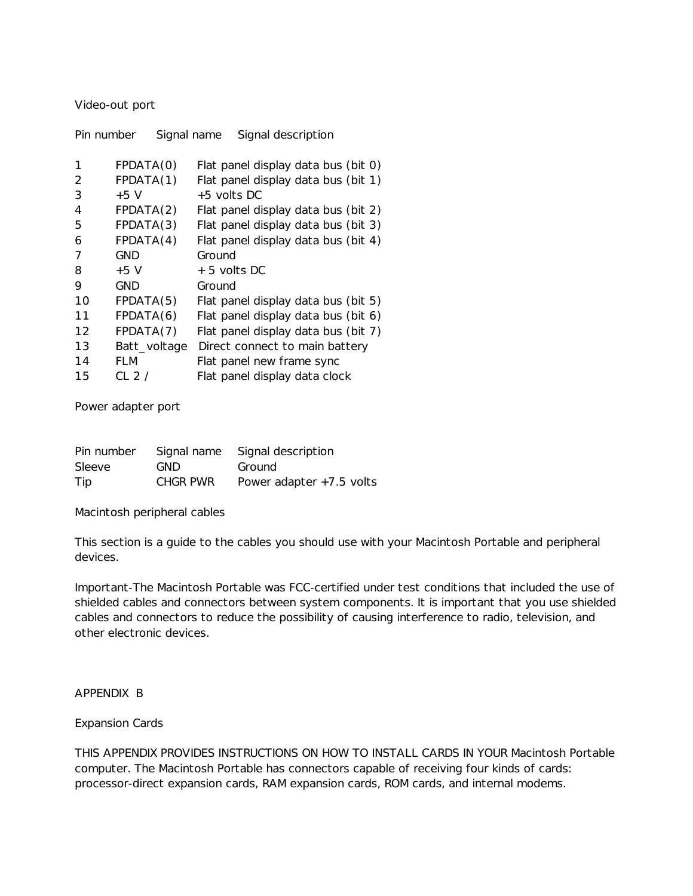## Video-out port

| Pin number | Signal name   | Signal description                  |
|------------|---------------|-------------------------------------|
| 1          | FPDATA(0)     | Flat panel display data bus (bit 0) |
| 2          | FPDATA(1)     | Flat panel display data bus (bit 1) |
| 3          | $+5V$         | $+5$ volts DC                       |
| 4          | FPDATA(2)     | Flat panel display data bus (bit 2) |
| 5          | FPDATA(3)     | Flat panel display data bus (bit 3) |
| 6          | FPDATA(4)     | Flat panel display data bus (bit 4) |
| 7          | <b>GND</b>    | Ground                              |
| 8          | $+5V$         | + 5 volts DC                        |
| 9          | GND           | Ground                              |
| 10         | FPDATA(5)     | Flat panel display data bus (bit 5) |
| 11         | FPDATA(6)     | Flat panel display data bus (bit 6) |
| 12         | FPDATA(7)     | Flat panel display data bus (bit 7) |
| 13         | Batt_voltage  | Direct connect to main battery      |
| 14         | FLM           | Flat panel new frame sync           |
| 15         | CL 2 $\prime$ | Flat panel display data clock       |

Power adapter port

| Pin number |          | Signal name Signal description |
|------------|----------|--------------------------------|
| Sleeve     | GND.     | Ground                         |
| Tip        | CHGR PWR | Power adapter $+7.5$ volts     |

Macintosh peripheral cables

This section is a guide to the cables you should use with your Macintosh Portable and peripheral devices.

Important-The Macintosh Portable was FCC-certified under test conditions that included the use of shielded cables and connectors between system components. It is important that you use shielded cables and connectors to reduce the possibility of causing interference to radio, television, and other electronic devices.

# APPENDIX B

# Expansion Cards

THIS APPENDIX PROVIDES INSTRUCTIONS ON HOW TO INSTALL CARDS IN YOUR Macintosh Portable computer. The Macintosh Portable has connectors capable of receiving four kinds of cards: processor-direct expansion cards, RAM expansion cards, ROM cards, and internal modems.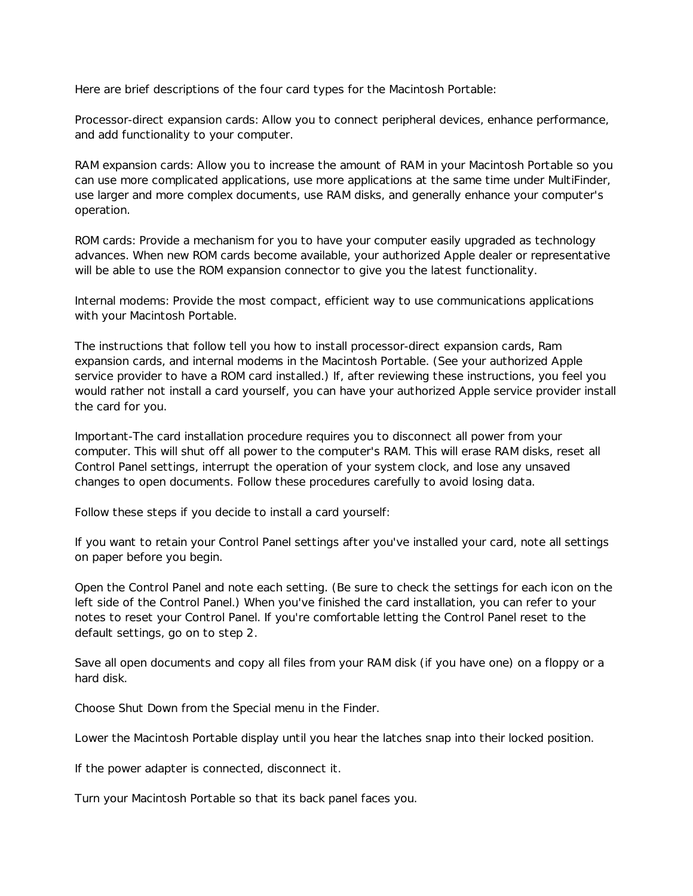Here are brief descriptions of the four card types for the Macintosh Portable:

Processor-direct expansion cards: Allow you to connect peripheral devices, enhance performance, and add functionality to your computer.

RAM expansion cards: Allow you to increase the amount of RAM in your Macintosh Portable so you can use more complicated applications, use more applications at the same time under MultiFinder, use larger and more complex documents, use RAM disks, and generally enhance your computer's operation.

ROM cards: Provide a mechanism for you to have your computer easily upgraded as technology advances. When new ROM cards become available, your authorized Apple dealer or representative will be able to use the ROM expansion connector to give you the latest functionality.

Internal modems: Provide the most compact, efficient way to use communications applications with your Macintosh Portable.

The instructions that follow tell you how to install processor-direct expansion cards, Ram expansion cards, and internal modems in the Macintosh Portable. (See your authorized Apple service provider to have a ROM card installed.) If, after reviewing these instructions, you feel you would rather not install a card yourself, you can have your authorized Apple service provider install the card for you.

Important-The card installation procedure requires you to disconnect all power from your computer. This will shut off all power to the computer's RAM. This will erase RAM disks, reset all Control Panel settings, interrupt the operation of your system clock, and lose any unsaved changes to open documents. Follow these procedures carefully to avoid losing data.

Follow these steps if you decide to install a card yourself:

If you want to retain your Control Panel settings after you've installed your card, note all settings on paper before you begin.

Open the Control Panel and note each setting. (Be sure to check the settings for each icon on the left side of the Control Panel.) When you've finished the card installation, you can refer to your notes to reset your Control Panel. If you're comfortable letting the Control Panel reset to the default settings, go on to step 2.

Save all open documents and copy all files from your RAM disk (if you have one) on a floppy or a hard disk.

Choose Shut Down from the Special menu in the Finder.

Lower the Macintosh Portable display until you hear the latches snap into their locked position.

If the power adapter is connected, disconnect it.

Turn your Macintosh Portable so that its back panel faces you.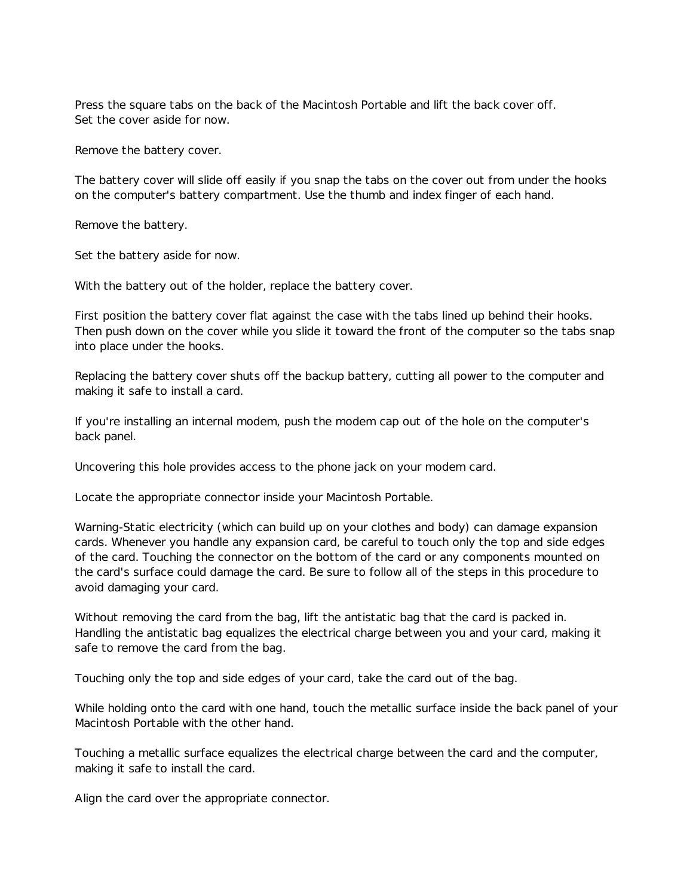Press the square tabs on the back of the Macintosh Portable and lift the back cover off. Set the cover aside for now.

Remove the battery cover.

The battery cover will slide off easily if you snap the tabs on the cover out from under the hooks on the computer's battery compartment. Use the thumb and index finger of each hand.

Remove the battery.

Set the battery aside for now.

With the battery out of the holder, replace the battery cover.

First position the battery cover flat against the case with the tabs lined up behind their hooks. Then push down on the cover while you slide it toward the front of the computer so the tabs snap into place under the hooks.

Replacing the battery cover shuts off the backup battery, cutting all power to the computer and making it safe to install a card.

If you're installing an internal modem, push the modem cap out of the hole on the computer's back panel.

Uncovering this hole provides access to the phone jack on your modem card.

Locate the appropriate connector inside your Macintosh Portable.

Warning-Static electricity (which can build up on your clothes and body) can damage expansion cards. Whenever you handle any expansion card, be careful to touch only the top and side edges of the card. Touching the connector on the bottom of the card or any components mounted on the card's surface could damage the card. Be sure to follow all of the steps in this procedure to avoid damaging your card.

Without removing the card from the bag, lift the antistatic bag that the card is packed in. Handling the antistatic bag equalizes the electrical charge between you and your card, making it safe to remove the card from the bag.

Touching only the top and side edges of your card, take the card out of the bag.

While holding onto the card with one hand, touch the metallic surface inside the back panel of your Macintosh Portable with the other hand.

Touching a metallic surface equalizes the electrical charge between the card and the computer, making it safe to install the card.

Align the card over the appropriate connector.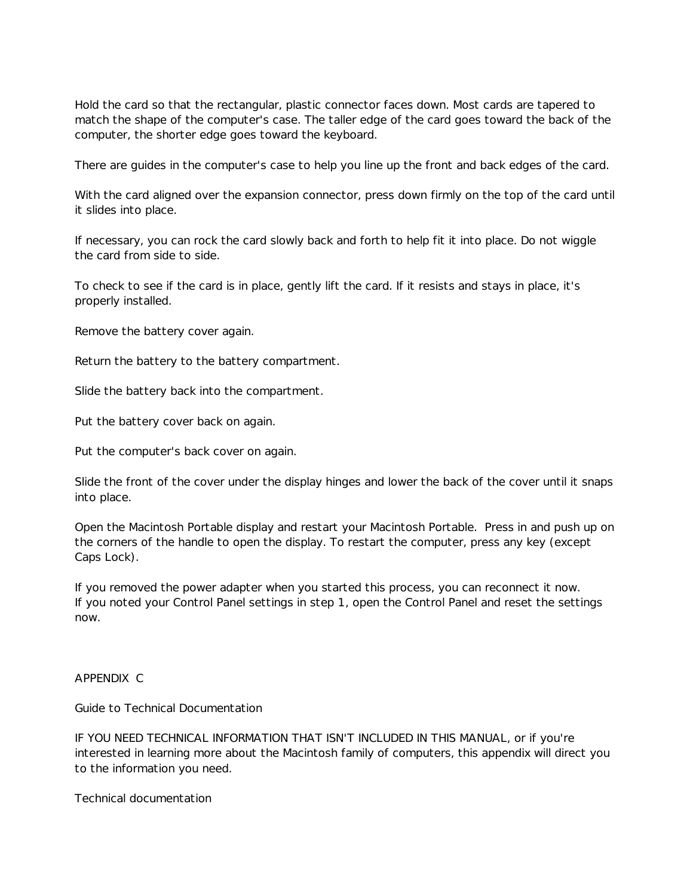Hold the card so that the rectangular, plastic connector faces down. Most cards are tapered to match the shape of the computer's case. The taller edge of the card goes toward the back of the computer, the shorter edge goes toward the keyboard.

There are guides in the computer's case to help you line up the front and back edges of the card.

With the card aligned over the expansion connector, press down firmly on the top of the card until it slides into place.

If necessary, you can rock the card slowly back and forth to help fit it into place. Do not wiggle the card from side to side.

To check to see if the card is in place, gently lift the card. If it resists and stays in place, it's properly installed.

Remove the battery cover again.

Return the battery to the battery compartment.

Slide the battery back into the compartment.

Put the battery cover back on again.

Put the computer's back cover on again.

Slide the front of the cover under the display hinges and lower the back of the cover until it snaps into place.

Open the Macintosh Portable display and restart your Macintosh Portable. Press in and push up on the corners of the handle to open the display. To restart the computer, press any key (except Caps Lock).

If you removed the power adapter when you started this process, you can reconnect it now. If you noted your Control Panel settings in step 1, open the Control Panel and reset the settings now.

#### APPENDIX C

Guide to Technical Documentation

IF YOU NEED TECHNICAL INFORMATION THAT ISN'T INCLUDED IN THIS MANUAL, or if you're interested in learning more about the Macintosh family of computers, this appendix will direct you to the information you need.

Technical documentation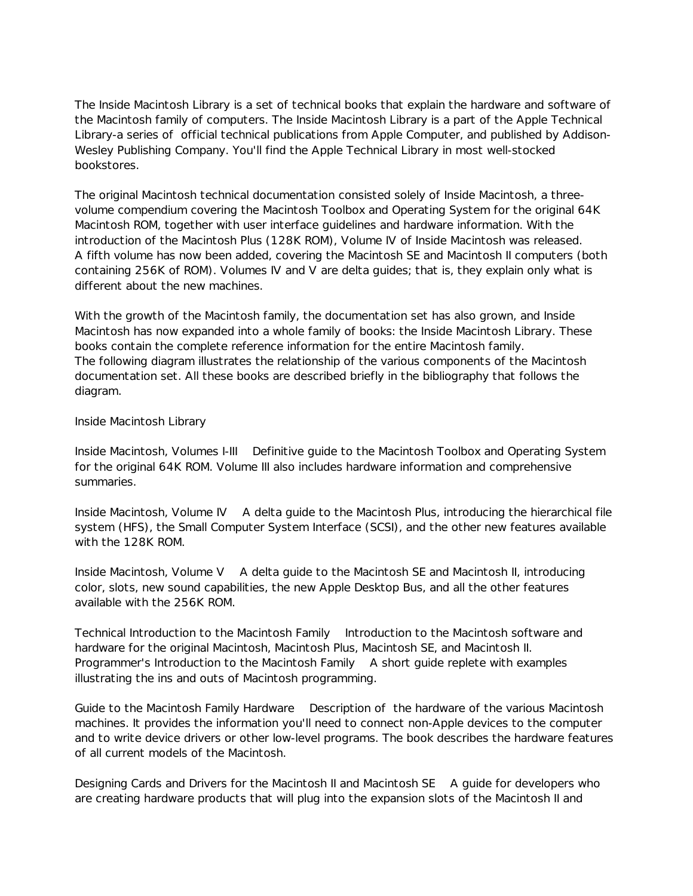The Inside Macintosh Library is a set of technical books that explain the hardware and software of the Macintosh family of computers. The Inside Macintosh Library is a part of the Apple Technical Library-a series of official technical publications from Apple Computer, and published by Addison-Wesley Publishing Company. You'll find the Apple Technical Library in most well-stocked bookstores.

The original Macintosh technical documentation consisted solely of Inside Macintosh, a threevolume compendium covering the Macintosh Toolbox and Operating System for the original 64K Macintosh ROM, together with user interface guidelines and hardware information. With the introduction of the Macintosh Plus (128K ROM), Volume IV of Inside Macintosh was released. A fifth volume has now been added, covering the Macintosh SE and Macintosh II computers (both containing 256K of ROM). Volumes IV and V are delta guides; that is, they explain only what is different about the new machines.

With the growth of the Macintosh family, the documentation set has also grown, and Inside Macintosh has now expanded into a whole family of books: the Inside Macintosh Library. These books contain the complete reference information for the entire Macintosh family. The following diagram illustrates the relationship of the various components of the Macintosh documentation set. All these books are described briefly in the bibliography that follows the diagram.

## Inside Macintosh Library

Inside Macintosh, Volumes I-III Definitive guide to the Macintosh Toolbox and Operating System for the original 64K ROM. Volume III also includes hardware information and comprehensive summaries.

Inside Macintosh, Volume IV A delta guide to the Macintosh Plus, introducing the hierarchical file system (HFS), the Small Computer System Interface (SCSI), and the other new features available with the 128K ROM.

Inside Macintosh, Volume V A delta guide to the Macintosh SE and Macintosh II, introducing color, slots, new sound capabilities, the new Apple Desktop Bus, and all the other features available with the 256K ROM.

Technical Introduction to the Macintosh Family Introduction to the Macintosh software and hardware for the original Macintosh, Macintosh Plus, Macintosh SE, and Macintosh II. Programmer's Introduction to the Macintosh Family A short guide replete with examples illustrating the ins and outs of Macintosh programming.

Guide to the Macintosh Family Hardware Description of the hardware of the various Macintosh machines. It provides the information you'll need to connect non-Apple devices to the computer and to write device drivers or other low-level programs. The book describes the hardware features of all current models of the Macintosh.

Designing Cards and Drivers for the Macintosh II and Macintosh SE A guide for developers who are creating hardware products that will plug into the expansion slots of the Macintosh II and